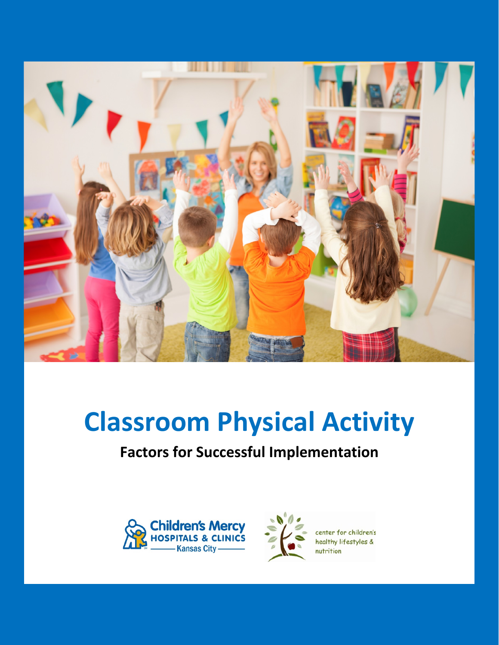

# **Classroom Physical Activity**

# **Factors for Successful Implementation**





center for children's healthy lifestyles &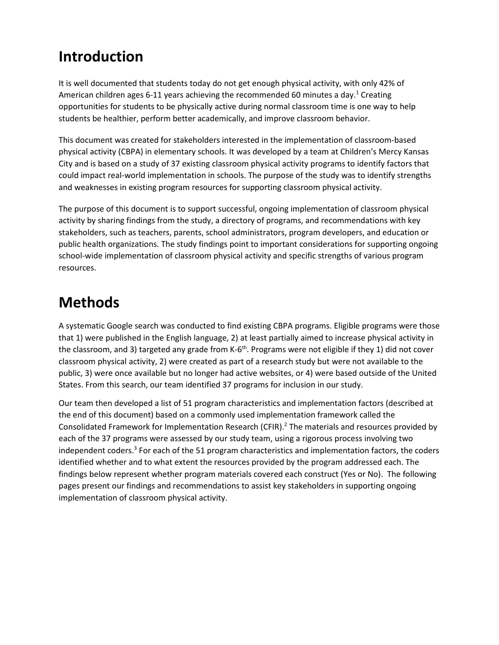# **Introduction**

It is well documented that students today do not get enough physical activity, with only 42% of American children ages 6-11 years achieving the recommended 60 minutes a day.<sup>1</sup> Creating opportunities for students to be physically active during normal classroom time is one way to help students be healthier, perform better academically, and improve classroom behavior.

This document was created for stakeholders interested in the implementation of classroom-based physical activity (CBPA) in elementary schools. It was developed by a team at Children's Mercy Kansas City and is based on a study of 37 existing classroom physical activity programs to identify factors that could impact real-world implementation in schools. The purpose of the study was to identify strengths and weaknesses in existing program resources for supporting classroom physical activity.

The purpose of this document is to support successful, ongoing implementation of classroom physical activity by sharing findings from the study, a directory of programs, and recommendations with key stakeholders, such as teachers, parents, school administrators, program developers, and education or public health organizations. The study findings point to important considerations for supporting ongoing school-wide implementation of classroom physical activity and specific strengths of various program resources.

# **Methods**

A systematic Google search was conducted to find existing CBPA programs. Eligible programs were those that 1) were published in the English language, 2) at least partially aimed to increase physical activity in the classroom, and 3) targeted any grade from K-6<sup>th</sup>. Programs were not eligible if they 1) did not cover classroom physical activity, 2) were created as part of a research study but were not available to the public, 3) were once available but no longer had active websites, or 4) were based outside of the United States. From this search, our team identified 37 programs for inclusion in our study.

Our team then developed a list of 51 program characteristics and implementation factors (described at the end of this document) based on a commonly used implementation framework called the Consolidated Framework for Implementation Research (CFIR).2 The materials and resources provided by each of the 37 programs were assessed by our study team, using a rigorous process involving two independent coders.<sup>3</sup> For each of the 51 program characteristics and implementation factors, the coders identified whether and to what extent the resources provided by the program addressed each. The findings below represent whether program materials covered each construct (Yes or No). The following pages present our findings and recommendations to assist key stakeholders in supporting ongoing implementation of classroom physical activity.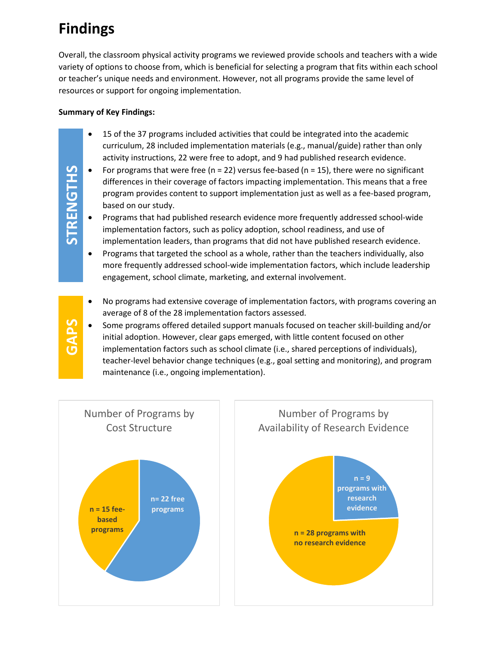# **Findings**

**STRENGTHS**

**STRENGTHS** 

**GAPS**

Overall, the classroom physical activity programs we reviewed provide schools and teachers with a wide variety of options to choose from, which is beneficial for selecting a program that fits within each school or teacher's unique needs and environment. However, not all programs provide the same level of resources or support for ongoing implementation.

## **Summary of Key Findings:**

- 15 of the 37 programs included activities that could be integrated into the academic curriculum, 28 included implementation materials (e.g., manual/guide) rather than only activity instructions, 22 were free to adopt, and 9 had published research evidence.
- For programs that were free (n = 22) versus fee-based (n = 15), there were no significant differences in their coverage of factors impacting implementation. This means that a free program provides content to support implementation just as well as a fee-based program, based on our study.
- Programs that had published research evidence more frequently addressed school-wide implementation factors, such as policy adoption, school readiness, and use of implementation leaders, than programs that did not have published research evidence.
- Programs that targeted the school as a whole, rather than the teachers individually, also more frequently addressed school-wide implementation factors, which include leadership engagement, school climate, marketing, and external involvement.
- No programs had extensive coverage of implementation factors, with programs covering an average of 8 of the 28 implementation factors assessed.
- Some programs offered detailed support manuals focused on teacher skill-building and/or initial adoption. However, clear gaps emerged, with little content focused on other implementation factors such as school climate (i.e., shared perceptions of individuals), teacher-level behavior change techniques (e.g., goal setting and monitoring), and program maintenance (i.e., ongoing implementation).

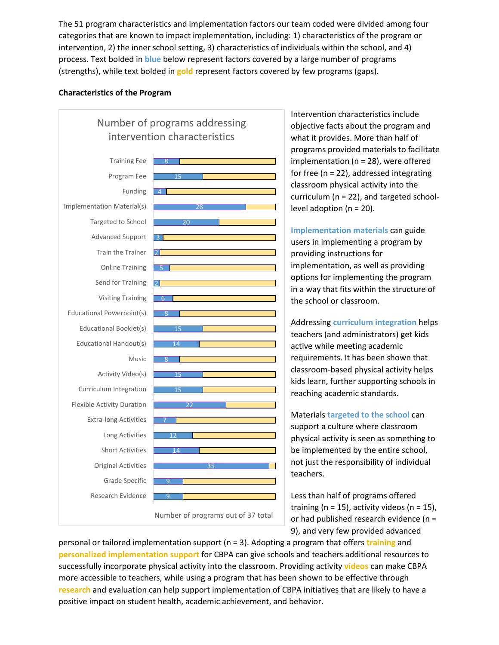The 51 program characteristics and implementation factors our team coded were divided among four categories that are known to impact implementation, including: 1) characteristics of the program or intervention, 2) the inner school setting, 3) characteristics of individuals within the school, and 4) process. Text bolded in **blue** below represent factors covered by a large number of programs (strengths), while text bolded in **gold** represent factors covered by few programs (gaps).

#### **Characteristics of the Program**



Intervention characteristics include objective facts about the program and what it provides. More than half of programs provided materials to facilitate implementation (n = 28), were offered for free (n = 22), addressed integrating classroom physical activity into the curriculum (n = 22), and targeted schoollevel adoption ( $n = 20$ ).

**Implementation materials** can guide users in implementing a program by providing instructions for implementation, as well as providing options for implementing the program in a way that fits within the structure of the school or classroom.

Addressing **curriculum integration** helps teachers (and administrators) get kids active while meeting academic requirements. It has been shown that classroom-based physical activity helps kids learn, further supporting schools in reaching academic standards.

Materials **targeted to the school** can support a culture where classroom physical activity is seen as something to be implemented by the entire school, not just the responsibility of individual teachers.

Less than half of programs offered training ( $n = 15$ ), activity videos ( $n = 15$ ), or had published research evidence (n = 9), and very few provided advanced

personal or tailored implementation support (n = 3). Adopting a program that offers **training** and **personalized implementation support** for CBPA can give schools and teachers additional resources to successfully incorporate physical activity into the classroom. Providing activity **videos** can make CBPA more accessible to teachers, while using a program that has been shown to be effective through **research** and evaluation can help support implementation of CBPA initiatives that are likely to have a positive impact on student health, academic achievement, and behavior.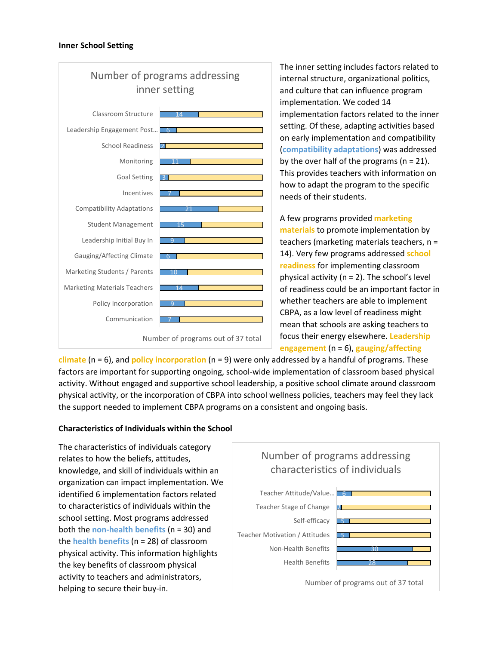

The inner setting includes factors related to internal structure, organizational politics, and culture that can influence program implementation. We coded 14 implementation factors related to the inner setting. Of these, adapting activities based on early implementation and compatibility (**compatibility adaptations**) was addressed by the over half of the programs ( $n = 21$ ). This provides teachers with information on how to adapt the program to the specific needs of their students.

A few programs provided **marketing materials** to promote implementation by teachers (marketing materials teachers, n = 14). Very few programs addressed **school readiness** for implementing classroom physical activity ( $n = 2$ ). The school's level of readiness could be an important factor in whether teachers are able to implement CBPA, as a low level of readiness might mean that schools are asking teachers to focus their energy elsewhere. **Leadership engagement** (n = 6), **gauging/affecting** 

**climate** (n = 6), and **policy incorporation** (n = 9) were only addressed by a handful of programs. These factors are important for supporting ongoing, school-wide implementation of classroom based physical activity. Without engaged and supportive school leadership, a positive school climate around classroom physical activity, or the incorporation of CBPA into school wellness policies, teachers may feel they lack the support needed to implement CBPA programs on a consistent and ongoing basis.

#### **Characteristics of Individuals within the School**

The characteristics of individuals category relates to how the beliefs, attitudes, knowledge, and skill of individuals within an organization can impact implementation. We identified 6 implementation factors related to characteristics of individuals within the school setting. Most programs addressed both the **non-health benefits** (n = 30) and the **health benefits** (n = 28) of classroom physical activity. This information highlights the key benefits of classroom physical activity to teachers and administrators, helping to secure their buy-in.

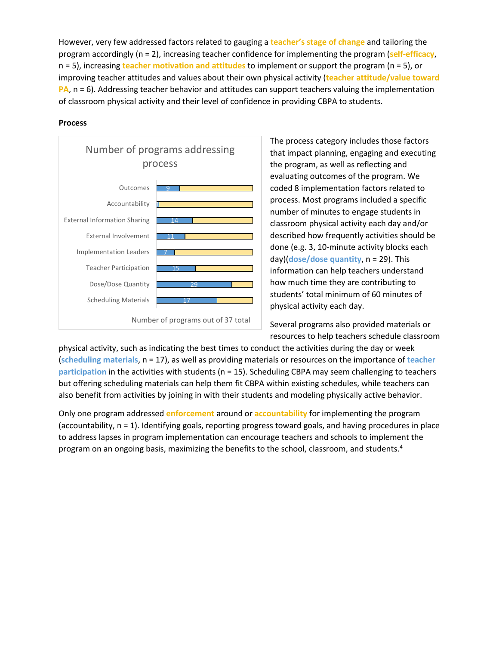However, very few addressed factors related to gauging a **teacher's stage of change** and tailoring the program accordingly (n = 2), increasing teacher confidence for implementing the program (**self-efficacy**, n = 5), increasing **teacher motivation and attitudes** to implement or support the program (n = 5), or improving teacher attitudes and values about their own physical activity (**teacher attitude/value toward PA**, n = 6). Addressing teacher behavior and attitudes can support teachers valuing the implementation of classroom physical activity and their level of confidence in providing CBPA to students.

#### **Process**



The process category includes those factors that impact planning, engaging and executing the program, as well as reflecting and evaluating outcomes of the program. We coded 8 implementation factors related to process. Most programs included a specific number of minutes to engage students in classroom physical activity each day and/or described how frequently activities should be done (e.g. 3, 10-minute activity blocks each day)(**dose/dose quantity**, n = 29). This information can help teachers understand how much time they are contributing to students' total minimum of 60 minutes of physical activity each day.

Several programs also provided materials or resources to help teachers schedule classroom

physical activity, such as indicating the best times to conduct the activities during the day or week (**scheduling materials**, n = 17), as well as providing materials or resources on the importance of **teacher participation** in the activities with students (n = 15). Scheduling CBPA may seem challenging to teachers but offering scheduling materials can help them fit CBPA within existing schedules, while teachers can also benefit from activities by joining in with their students and modeling physically active behavior.

Only one program addressed **enforcement** around or **accountability** for implementing the program (accountability, n = 1). Identifying goals, reporting progress toward goals, and having procedures in place to address lapses in program implementation can encourage teachers and schools to implement the program on an ongoing basis, maximizing the benefits to the school, classroom, and students.<sup>4</sup>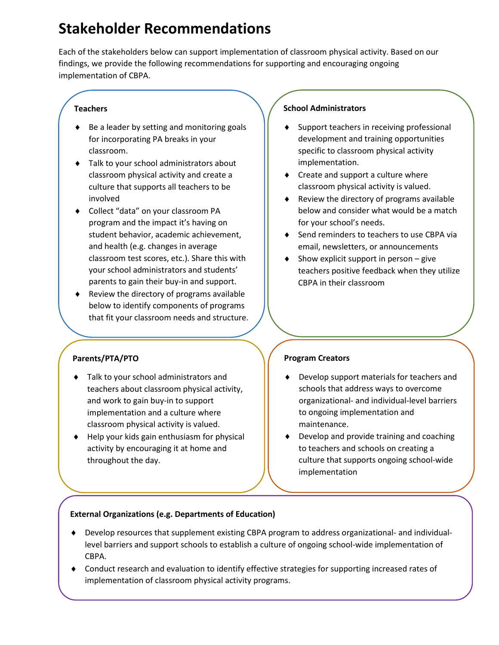# **Stakeholder Recommendations**

Each of the stakeholders below can support implementation of classroom physical activity. Based on our findings, we provide the following recommendations for supporting and encouraging ongoing implementation of CBPA.

### **Teachers**

- ♦ Be a leader by setting and monitoring goals for incorporating PA breaks in your classroom.
- ♦ Talk to your school administrators about classroom physical activity and create a culture that supports all teachers to be involved
- ♦ Collect "data" on your classroom PA program and the impact it's having on student behavior, academic achievement, and health (e.g. changes in average classroom test scores, etc.). Share this with your school administrators and students' parents to gain their buy-in and support.
- $\bullet$  Review the directory of programs available below to identify components of programs that fit your classroom needs and structure.

# **Parents/PTA/PTO**

- ♦ Talk to your school administrators and teachers about classroom physical activity, and work to gain buy-in to support implementation and a culture where classroom physical activity is valued.
- ♦ Help your kids gain enthusiasm for physical activity by encouraging it at home and throughout the day.

### **School Administrators**

- Support teachers in receiving professional development and training opportunities specific to classroom physical activity implementation.
- ♦ Create and support a culture where classroom physical activity is valued.
- ♦ Review the directory of programs available below and consider what would be a match for your school's needs.
- ♦ Send reminders to teachers to use CBPA via email, newsletters, or announcements
- $\bullet$  Show explicit support in person give teachers positive feedback when they utilize CBPA in their classroom

# **Program Creators**

- ♦ Develop support materials for teachers and schools that address ways to overcome organizational- and individual-level barriers to ongoing implementation and maintenance.
- ♦ Develop and provide training and coaching to teachers and schools on creating a culture that supports ongoing school-wide implementation

#### **External Organizations (e.g. Departments of Education)**

- ♦ Develop resources that supplement existing CBPA program to address organizational- and individuallevel barriers and support schools to establish a culture of ongoing school-wide implementation of CBPA.
- ♦ Conduct research and evaluation to identify effective strategies for supporting increased rates of implementation of classroom physical activity programs.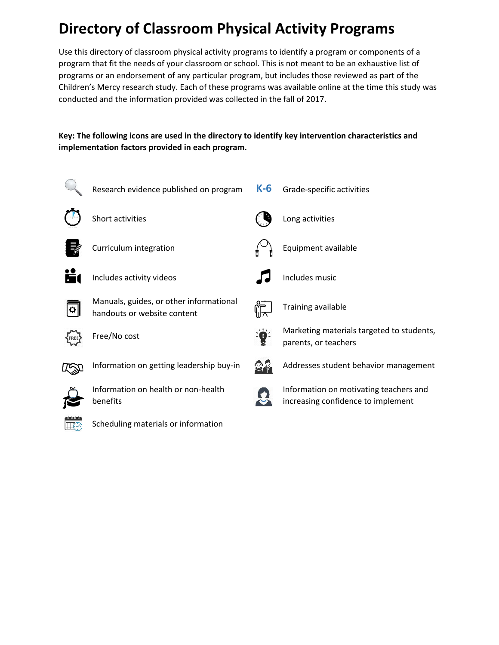# **Directory of Classroom Physical Activity Programs**

Use this directory of classroom physical activity programs to identify a program or components of a program that fit the needs of your classroom or school. This is not meant to be an exhaustive list of programs or an endorsement of any particular program, but includes those reviewed as part of the Children's Mercy research study. Each of these programs was available online at the time this study was conducted and the information provided was collected in the fall of 2017.

# **Key: The following icons are used in the directory to identify key intervention characteristics and implementation factors provided in each program.**

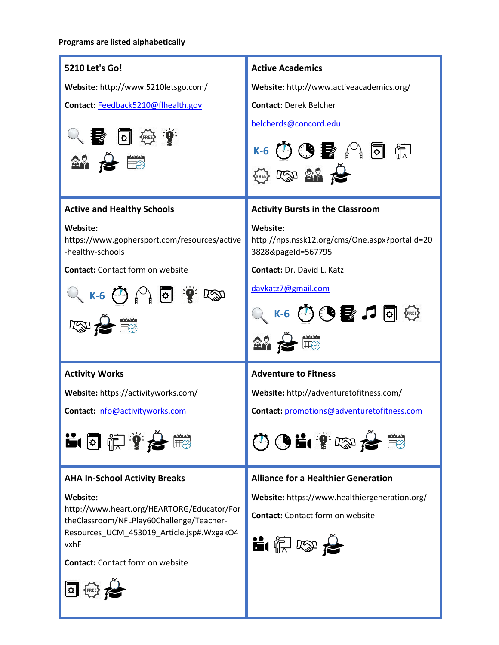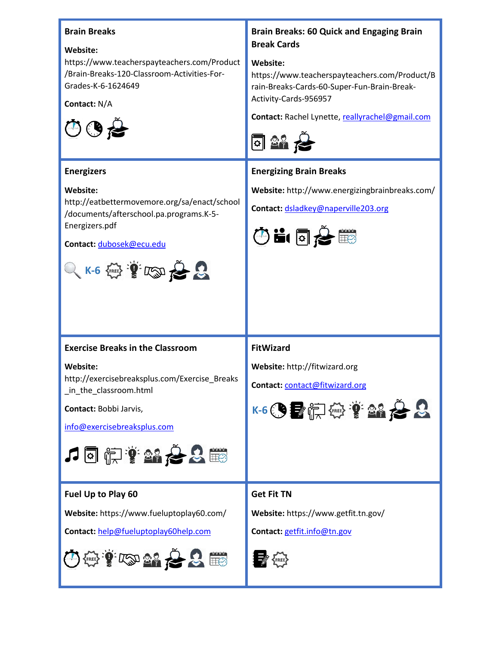### **Brain Breaks**

#### **Website:**

https://www.teacherspayteachers.com/Product /Brain-Breaks-120-Classroom-Activities-For-Grades-K-6-1624649

**Contact:** N/A



### **Energizers**

#### **Website:**

http://eatbettermovemore.org/sa/enact/school /documents/afterschool.pa.programs.K-5- Energizers.pdf

**Contact:** [dubosek@ecu.edu](mailto:dubosek@ecu.edu)



# **Brain Breaks: 60 Quick and Engaging Brain Break Cards**

### **Website:**

https://www.teacherspayteachers.com/Product/B rain-Breaks-Cards-60-Super-Fun-Brain-Break-Activity-Cards-956957

**Contact:** Rachel Lynette[, reallyrachel@gmail.com](mailto:reallyrachel@gmail.com)



# **Energizing Brain Breaks**

**Website:** http://www.energizingbrainbreaks.com/

**Contact:** [dsladkey@naperville203.org](mailto:dsladkey@naperville203.org)



# **Exercise Breaks in the Classroom**

#### **Website:**

http://exercisebreaksplus.com/Exercise\_Breaks in the classroom.html

**Contact:** Bobbi Jarvis,

[info@exercisebreaksplus.com](mailto:info@exercisebreaksplus.com)



# **Fuel Up to Play 60**

**Website:** https://www.fueluptoplay60.com/

**Contact:** help@fueluptoplay60help.com



# **FitWizard**

**Website:** http://fitwizard.org

**Contact:** [contact@fitwizard.org](mailto:contact@fitwizard.org)



# **Get Fit TN**

**Website:** https://www.getfit.tn.gov/

**Contact:** [getfit.info@tn.gov](mailto:getfit.info@tn.gov)

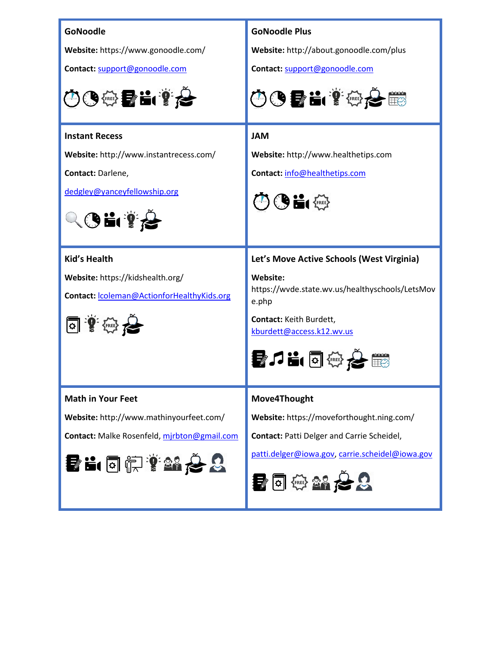| GoNoodle                                    | <b>GoNoodle Plus</b>                                           |
|---------------------------------------------|----------------------------------------------------------------|
| Website: https://www.gonoodle.com/          | Website: http://about.gonoodle.com/plus                        |
| Contact: support@gonoodle.com               | Contact: support@gonoodle.com                                  |
| 中国の電話のも                                     | 005 L 1025                                                     |
| <b>Instant Recess</b>                       | <b>JAM</b>                                                     |
| Website: http://www.instantrecess.com/      | Website: http://www.healthetips.com                            |
| Contact: Darlene,                           | Contact: info@healthetips.com                                  |
| dedgley@yanceyfellowship.org                | ◎●晶儒                                                           |
| $\mathbf{G}$ i 1                            |                                                                |
| <b>Kid's Health</b>                         | Let's Move Active Schools (West Virginia)                      |
| Website: https://kidshealth.org/            | Website:                                                       |
| Contact:  coleman@ActionforHealthyKids.org  | https://wvde.state.wv.us/healthyschools/LetsMov<br>e.php       |
| 回重的行                                        | Contact: Keith Burdett,<br>kburdett@access.k12.wv.us           |
|                                             |                                                                |
| <b>Math in Your Feet</b>                    | Move4Thought                                                   |
| Website: http://www.mathinyourfeet.com/     | Website: https://moveforthought.ning.com/                      |
| Contact: Malke Rosenfeld, mjrbton@gmail.com | <b>Contact: Patti Delger and Carrie Scheidel,</b>              |
| 香中国 山東 長野                                   | patti.delger@iowa.gov, carrie.scheidel@iowa.gov<br>■ 画 ※ 2 2 2 |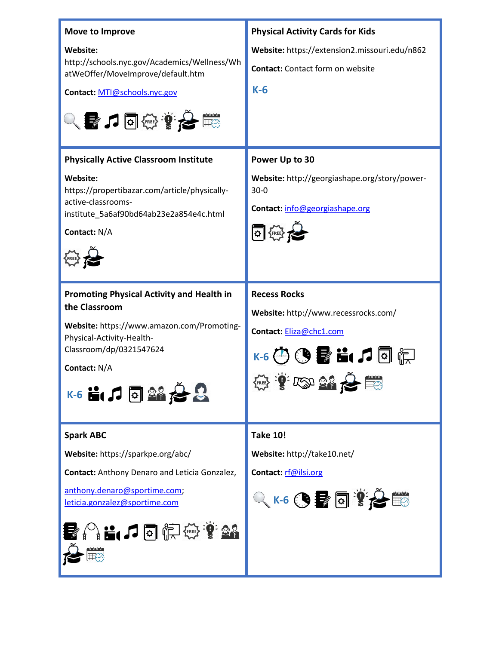| Move to Improve<br>Website:<br>http://schools.nyc.gov/Academics/Wellness/Wh<br>atWeOffer/MoveImprove/default.htm<br>Contact: MTI@schools.nyc.gov<br>$\alpha$ , and $\alpha$ , and $\alpha$                                                                      | <b>Physical Activity Cards for Kids</b><br>Website: https://extension2.missouri.edu/n862<br><b>Contact:</b> Contact form on website<br>$K-6$                                  |
|-----------------------------------------------------------------------------------------------------------------------------------------------------------------------------------------------------------------------------------------------------------------|-------------------------------------------------------------------------------------------------------------------------------------------------------------------------------|
| <b>Physically Active Classroom Institute</b><br>Website:<br>https://propertibazar.com/article/physically-<br>active-classrooms-<br>institute_5a6af90bd64ab23e2a854e4c.html<br>Contact: N/A                                                                      | Power Up to 30<br>Website: http://georgiashape.org/story/power-<br>$30 - 0$<br>Contact: info@georgiashape.org<br>可继                                                           |
| <b>Promoting Physical Activity and Health in</b><br>the Classroom<br>Website: https://www.amazon.com/Promoting-<br>Physical-Activity-Health-<br>Classroom/dp/0321547624<br>Contact: N/A<br>$S$ $\mathbb{R}$ $\mathbb{R}$ $\mathbb{R}$ $\mathbb{R}$ $\mathbb{R}$ | <b>Recess Rocks</b><br>Website: http://www.recessrocks.com/<br>Contact: Eliza@chc1.com<br>TED 21 2 10                                                                         |
| <b>Spark ABC</b><br>Website: https://sparkpe.org/abc/<br><b>Contact:</b> Anthony Denaro and Leticia Gonzalez,<br>anthony.denaro@sportime.com;<br>leticia.gonzalez@sportime.com<br>$\mathbb{C}$ in $\mathcal{D}$ of $\mathbb{C}$ of $\mathcal{D}$                | <b>Take 10!</b><br>Website: http://take10.net/<br>Contact: rf@ilsi.org<br>$Q$ K-6 $\bigcirc$ , $\blacksquare$ $\blacksquare$ $\blacksquare$ $\curvearrowright$ $\blacksquare$ |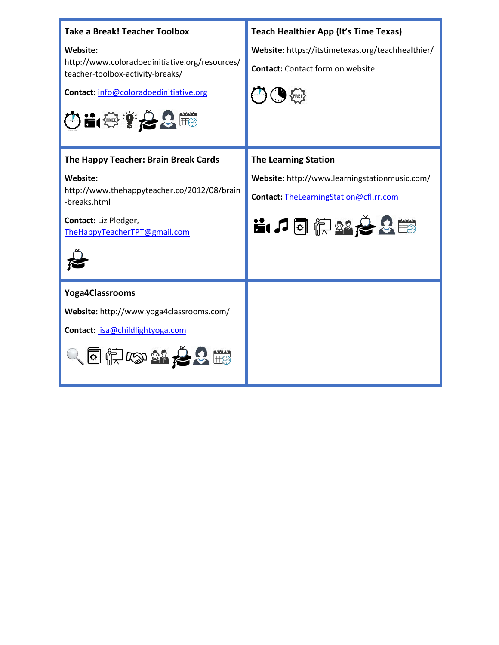| <b>Take a Break! Teacher Toolbox</b><br>Website:<br>http://www.coloradoedinitiative.org/resources/<br>teacher-toolbox-activity-breaks/<br>Contact: info@coloradoedinitiative.org<br>中日的第一名画 | <b>Teach Healthier App (It's Time Texas)</b><br>Website: https://itstimetexas.org/teachhealthier/<br><b>Contact:</b> Contact form on website |
|---------------------------------------------------------------------------------------------------------------------------------------------------------------------------------------------|----------------------------------------------------------------------------------------------------------------------------------------------|
| The Happy Teacher: Brain Break Cards<br>Website:<br>http://www.thehappyteacher.co/2012/08/brain<br>-breaks.html<br>Contact: Liz Pledger,<br>The Happy Teacher TPT@gmail.com                 | <b>The Learning Station</b><br>Website: http://www.learningstationmusic.com/<br>Contact: TheLearningStation@cfl.rr.com<br>11日前路台名画           |
| <b>Yoga4Classrooms</b><br>Website: http://www.yoga4classrooms.com/<br>Contact: lisa@childlightyoga.com<br>同庆政部名名用                                                                           |                                                                                                                                              |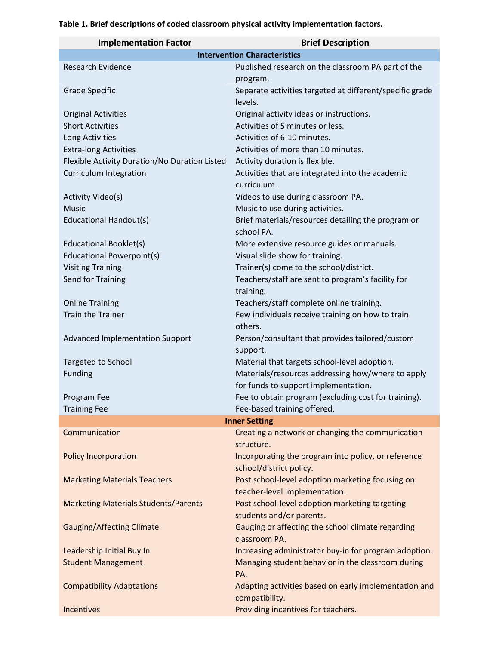# **Implementation Factor Brief Description Intervention Characteristics** Research Evidence **Published research on the classroom PA part of the** program. Grade Specific Separate activities targeted at different/specific grade levels. Original Activities Original activity ideas or instructions. Short Activities **Activities** Activities of 5 minutes or less. Long Activities **Activities** Activities of 6-10 minutes. Extra-long Activities **Activities** Activities of more than 10 minutes. Flexible Activity Duration/No Duration Listed Activity duration is flexible. Curriculum Integration Activities that are integrated into the academic curriculum. Activity Video(s) and Community Videos to use during classroom PA. Music Music Music to use during activities. Educational Handout(s) Brief materials/resources detailing the program or school PA. Educational Booklet(s) More extensive resource guides or manuals. Educational Powerpoint(s) Visual slide show for training. Visiting Training Trainer(s) come to the school/district. Send for Training Teachers/staff are sent to program's facility for training. Online Training Teachers/staff complete online training. Train the Trainer Few individuals receive training on how to train others. Advanced Implementation Support Person/consultant that provides tailored/custom support. Targeted to School **Material that targets school-level adoption**. Funding Materials/resources addressing how/where to apply for funds to support implementation. Program Fee Fee to obtain program (excluding cost for training). Training Fee Fee-based training offered. **Inner Setting** Communication Creating a network or changing the communication structure. Policy Incorporation **Incorporation** Incorporating the program into policy, or reference school/district policy. Marketing Materials Teachers Post school-level adoption marketing focusing on teacher-level implementation. Marketing Materials Students/Parents Post school-level adoption marketing targeting students and/or parents. Gauging/Affecting Climate Gauging or affecting the school climate regarding classroom PA. Leadership Initial Buy In **Increasing administrator buy-in for program adoption.** Student Management Managing student behavior in the classroom during PA. Compatibility Adaptations Adapting activities based on early implementation and compatibility.

Incentives **Providing incentives** for teachers.

#### **Table 1. Brief descriptions of coded classroom physical activity implementation factors.**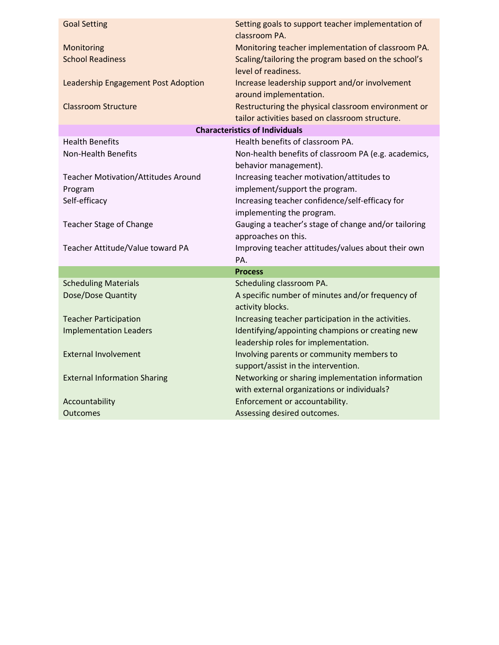| <b>Goal Setting</b>                        | Setting goals to support teacher implementation of<br>classroom PA.                                    |
|--------------------------------------------|--------------------------------------------------------------------------------------------------------|
| Monitoring                                 | Monitoring teacher implementation of classroom PA.                                                     |
| <b>School Readiness</b>                    | Scaling/tailoring the program based on the school's<br>level of readiness.                             |
| Leadership Engagement Post Adoption        | Increase leadership support and/or involvement<br>around implementation.                               |
| <b>Classroom Structure</b>                 | Restructuring the physical classroom environment or<br>tailor activities based on classroom structure. |
|                                            | <b>Characteristics of Individuals</b>                                                                  |
| <b>Health Benefits</b>                     | Health benefits of classroom PA.                                                                       |
| <b>Non-Health Benefits</b>                 | Non-health benefits of classroom PA (e.g. academics,<br>behavior management).                          |
| <b>Teacher Motivation/Attitudes Around</b> | Increasing teacher motivation/attitudes to                                                             |
| Program                                    | implement/support the program.                                                                         |
| Self-efficacy                              | Increasing teacher confidence/self-efficacy for                                                        |
|                                            | implementing the program.                                                                              |
| <b>Teacher Stage of Change</b>             | Gauging a teacher's stage of change and/or tailoring                                                   |
|                                            | approaches on this.                                                                                    |
| Teacher Attitude/Value toward PA           | Improving teacher attitudes/values about their own                                                     |
|                                            | PA.                                                                                                    |
|                                            | <b>Process</b>                                                                                         |
| <b>Scheduling Materials</b>                | Scheduling classroom PA.                                                                               |
| Dose/Dose Quantity                         | A specific number of minutes and/or frequency of<br>activity blocks.                                   |
| <b>Teacher Participation</b>               | Increasing teacher participation in the activities.                                                    |
| <b>Implementation Leaders</b>              | Identifying/appointing champions or creating new                                                       |
|                                            | leadership roles for implementation.                                                                   |
| <b>External Involvement</b>                | Involving parents or community members to<br>support/assist in the intervention.                       |
| <b>External Information Sharing</b>        | Networking or sharing implementation information<br>with external organizations or individuals?        |
| Accountability                             | Enforcement or accountability.                                                                         |
|                                            |                                                                                                        |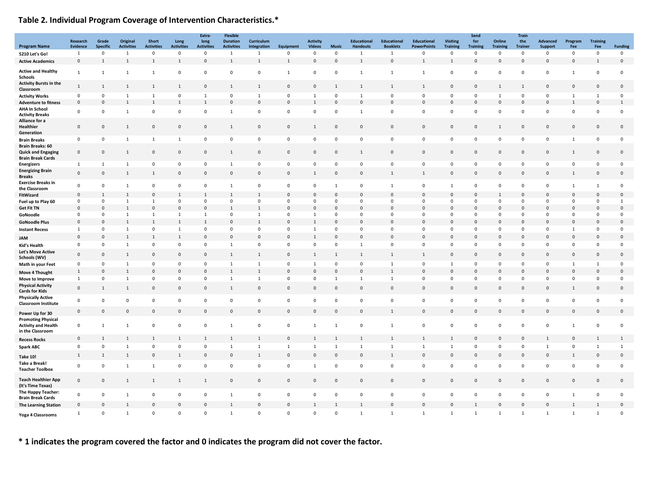# **Table 2. Individual Program Coverage of Intervention Characteristics.\***

|                                                                             | Research<br><b>Evidence</b>  | Grade<br><b>Specific</b> | Original               | <b>Short</b><br><b>Activities</b> | Long                   | Extra-<br>long<br><b>Activities</b> | <b>Flexible</b><br><b>Duration</b><br><b>Activities</b> | Curriculum        |                     | <b>Activity</b><br><b>Videos</b> |                   | <b>Educational</b>              | <b>Educational</b><br><b>Booklets</b> | <b>Educational</b>                | <b>Visiting</b>                | Send<br>for<br><b>Training</b> | Online                         | <b>Train</b><br>the           | Advanced                    | Program                     | <b>Training</b>     | <b>Funding</b> |
|-----------------------------------------------------------------------------|------------------------------|--------------------------|------------------------|-----------------------------------|------------------------|-------------------------------------|---------------------------------------------------------|-------------------|---------------------|----------------------------------|-------------------|---------------------------------|---------------------------------------|-----------------------------------|--------------------------------|--------------------------------|--------------------------------|-------------------------------|-----------------------------|-----------------------------|---------------------|----------------|
| <b>Program Name</b>                                                         | 1                            | 0                        | <b>Activities</b><br>1 | 0                                 | <b>Activities</b><br>0 | $\mathbf 0$                         | $\overline{1}$                                          | Integration<br>1  | Equipment<br>0      | $\mathbf{0}$                     | <b>Music</b><br>0 | <b>Handouts</b><br>$\mathbf{1}$ | 1                                     | <b>PowerPoints</b><br>$\mathbf 0$ | <b>Training</b><br>$\mathbf 0$ | $\mathbf 0$                    | <b>Training</b><br>$\mathbf 0$ | <b>Trainer</b><br>$\mathbf 0$ | Support<br>$\mathbf 0$      | Fee<br>0                    | Fee<br>0            | $\mathbf 0$    |
| 5210 Let's Go!<br><b>Active Academics</b>                                   | $\mathbf 0$                  | $\mathbf{1}$             | 1                      | 1                                 | $\mathbf{1}$           | $\mathbf 0$                         | 1                                                       | $\mathbf{1}$      | $\mathbf{1}$        | $\mathbf 0$                      | $\mathbf 0$       | -1                              | $\mathbf 0$                           | 1                                 | $\mathbf{1}$                   | $\mathbf 0$                    | $\mathsf{O}\xspace$            | $\mathbf 0$                   | $\mathbb O$                 | $\mathsf{O}\xspace$         | $\mathbf{1}$        | $\mathbf 0$    |
|                                                                             |                              |                          |                        |                                   |                        |                                     |                                                         |                   |                     |                                  |                   |                                 |                                       |                                   |                                |                                |                                |                               |                             |                             |                     |                |
| <b>Active and Healthy</b><br><b>Schools</b>                                 | $\mathbf{1}$                 | $\mathbf{1}$             | 1                      | 1                                 | 0                      | 0                                   | 0                                                       | $\mathbf 0$       | 1                   | $\mathbf 0$                      | 0                 | 1                               | 1                                     | 1                                 | 0                              | $\mathbf 0$                    | 0                              | $\mathbf 0$                   | $\mathsf 0$                 | 1                           | 0                   | $\pmb{0}$      |
| <b>Activity Bursts in the</b><br>Classroom                                  | $\mathbf{1}$                 | $\mathbf{1}$             | $\mathbf{1}$           | $\mathbf{1}$                      | $\mathbf{1}$           | $\mathsf{O}\xspace$                 | 1                                                       | $\mathbf{1}$      | $\mathsf{O}\xspace$ | $\mathbf 0$                      | $\mathbf{1}$      | 1                               | $\mathbf{1}$                          | $\mathbf{1}$                      | $\mathsf{O}\xspace$            | $\mathbf 0$                    | 1                              | $\mathbf{1}$                  | $\mathbf 0$                 | $\mathbf 0$                 | $\mathsf{O}\xspace$ | $\mathbf 0$    |
| <b>Activity Works</b>                                                       | $\mathbf 0$                  | $\mathbf 0$              | $\mathbf{1}$           | 1                                 | 0                      | 1                                   | $\mathbf 0$                                             | 1                 | 0                   | 1                                | $\mathbf 0$       | $\overline{1}$                  | $\mathbf 0$                           | $\mathbf 0$                       | $\mathbf 0$                    | $\mathbf{0}$                   | $\overline{1}$                 | $\mathbf{0}$                  | $\mathbf 0$                 | $\mathbf{1}$                | $\mathbf{1}$        | $\mathbf 0$    |
| <b>Adventure to fitness</b>                                                 | $\mathbf 0$                  | $\mathbf 0$              | $\mathbf{1}$           | $\mathbf{1}$                      | $\mathbf{1}$           | $\mathbf{1}$                        | $\mathbf 0$                                             | $\mathbf 0$       | $\mathbf{0}$        | 1                                | $\mathbf{0}$      | $\Omega$                        | $\mathbf 0$                           | $\mathbf 0$                       | $\mathbf{0}$                   | $\mathbf 0$                    | $\mathbf 0$                    | $\mathbf 0$                   | $\mathbf{0}$                | $\mathbf{1}$                | $\mathbf{0}$        | $\mathbf{1}$   |
| <b>AHA In School</b>                                                        |                              |                          |                        |                                   |                        |                                     |                                                         |                   |                     |                                  |                   |                                 |                                       |                                   |                                |                                |                                |                               |                             |                             |                     |                |
| <b>Activity Breaks</b>                                                      | $\mathbf 0$                  | $\mathbf 0$              | $\mathbf{1}$           | $\mathbf 0$                       | $\Omega$               | $\mathbf 0$                         | 1                                                       | $\mathbf 0$       | $\mathbf 0$         | $\mathbf 0$                      | $\overline{0}$    | $\mathbf{1}$                    | $\mathbf 0$                           | $\mathsf 0$                       | $\mathbf 0$                    | $\mathbf 0$                    | $\mathbf{0}$                   | $\mathbf 0$                   | $\mathbf 0$                 | $\mathsf 0$                 | $\pmb{0}$           | $\pmb{0}$      |
| Alliance for a                                                              |                              |                          |                        |                                   |                        |                                     |                                                         |                   |                     |                                  |                   |                                 |                                       |                                   |                                |                                |                                |                               |                             |                             |                     |                |
| Healthier<br>Generation                                                     | $\mathbf 0$                  | $\mathbf 0$              | $\mathbf{1}$           | $\mathbf 0$                       | $\mathbf 0$            | $\mathsf 0$                         | $\mathbf{1}$                                            | $\mathbf 0$       | 0                   | 1                                | $\mathbf 0$       | $\Omega$                        | $\mathbf 0$                           | $\mathsf 0$                       | $\mathbf 0$                    | $\mathbf 0$                    | $\mathbf{1}$                   | $\mathbf 0$                   | $\mathbf 0$                 | $\mathsf{O}\xspace$         | $\mathsf{O}\xspace$ | $\mathbf 0$    |
| <b>Brain Breaks</b>                                                         | $\pmb{0}$                    | $\mathbf 0$              | $\overline{1}$         | $\mathbf{1}$                      | $\mathbf{1}$           | $\mathsf 0$                         | $\mathbf 0$                                             | $\pmb{0}$         | 0                   | $\mathbf 0$                      | $\mathbf 0$       | $\mathbf 0$                     | $\mathsf 0$                           | $\mathsf 0$                       | $\mathsf 0$                    | $\overline{0}$                 | $\mathsf 0$                    | $\mathbf 0$                   | $\mathsf 0$                 | 1                           | $\mathbf 0$         | $\pmb{0}$      |
| <b>Brain Breaks: 60</b>                                                     |                              |                          |                        |                                   |                        |                                     |                                                         |                   |                     |                                  |                   |                                 |                                       |                                   |                                |                                |                                |                               |                             |                             |                     |                |
| <b>Quick and Engaging</b>                                                   | $\mathbf 0$                  | $\mathsf{O}\xspace$      | 1                      | $\mathbf 0$                       | $\mathbf 0$            | $\mathsf 0$                         | $\mathbf{1}$                                            | $\mathbf 0$       | $\mathsf{O}\xspace$ | $\mathbf 0$                      | $\mathbf 0$       | 1                               | $\mathbf 0$                           | $\mathbf 0$                       | $\mathsf{O}\xspace$            | $\mathbf 0$                    | $\mathbf 0$                    | $\mathbf 0$                   | $\mathbf 0$                 | $\mathbf{1}$                | $\mathsf{O}\xspace$ | $\mathbf 0$    |
| <b>Brain Break Cards</b>                                                    |                              |                          |                        |                                   |                        |                                     |                                                         |                   |                     |                                  |                   |                                 |                                       |                                   |                                |                                |                                |                               |                             |                             |                     |                |
| <b>Energizers</b>                                                           | 1                            | 1                        | <sup>1</sup>           | $\mathbf 0$                       | 0                      | $\mathbf 0$                         | 1                                                       | $\mathbf 0$       | 0                   | $\mathbf 0$                      | $\overline{0}$    | $\mathbf 0$                     | $\mathbf 0$                           | $\mathbf 0$                       | $\mathbf 0$                    | $\mathbf{0}$                   | $\mathbf 0$                    | $\mathbf 0$                   | $\mathsf 0$                 | $\mathbf 0$                 | 0                   | $\pmb{0}$      |
| <b>Energizing Brain</b><br><b>Breaks</b>                                    | $\mathbf{0}$                 | $\mathbf 0$              | 1                      | 1                                 | $\mathbf{0}$           | $\mathbf 0$                         | $\mathbf{0}$                                            | $\mathbf 0$       | $\mathbf 0$         | 1                                | $\mathbf{0}$      | $\Omega$                        | 1                                     | 1                                 | $\mathbf 0$                    | $\mathbf{0}$                   | $\mathbf 0$                    | $\mathbf 0$                   | $\mathbf 0$                 | 1                           | $\mathsf 0$         | $\mathbf 0$    |
| <b>Exercise Breaks in</b><br>the Classroom                                  | $\mathbf 0$                  | $\mathbf 0$              | $\mathbf{1}$           | $\mathbf 0$                       | $\mathbf 0$            | $\mathbf 0$                         | 1                                                       | $\mathbf 0$       | 0                   | $\mathbf 0$                      | 1                 | $\Omega$                        | 1                                     | $\mathbf 0$                       | 1                              | $\mathbf{0}$                   | $\mathbf 0$                    | $\mathbf 0$                   | $\mathbf 0$                 | $\mathbf{1}$                | $\mathbf{1}$        | $\mathbf 0$    |
| FitWizard                                                                   | $\mathbf 0$                  | $\mathbf{1}$             | $\mathbf{1}$           | $\mathbf{0}$                      |                        | 1                                   |                                                         | $\mathbf{1}$      | $\mathbf 0$         | $\mathbf 0$                      | $\overline{0}$    |                                 | $\overline{0}$                        | $\mathbf 0$                       | $\mathbf 0$                    | $\mathbf 0$                    | 1                              | $\mathbf 0$                   | $\mathbf{0}$                | $\mathbf{0}$                | $\mathbf 0$         | $\mathbf 0$    |
| Fuel up to Play 60                                                          | $\mathbf 0$                  | $\mathbf 0$              | 1                      | 1                                 | $\mathbf 0$            | $\mathbf 0$                         | $\mathbf 0$                                             | $\mathbf 0$       | 0                   | $\mathbf 0$                      | $\mathbf 0$       | $\mathbf 0$                     | $\mathbf 0$                           | $\mathbf 0$                       | $\mathbf 0$                    | $\mathbf 0$                    | $\mathbf 0$                    | 0                             | $\mathbf 0$                 | $\mathbf 0$                 | 0                   | $\mathbf{1}$   |
| <b>Get Fit TN</b>                                                           | $\mathsf 0$                  | $\mathbf 0$              | $\mathbf{1}$           | $\mathbf 0$                       | C                      | $\mathbf 0$                         | 1                                                       | $\mathbf{1}$      | $\mathbf 0$         | $\mathbf 0$                      | $\mathbf 0$       |                                 | $\mathbf 0$<br>$\mathbf 0$            | $\mathbf{0}$                      | O                              | $\mathbf 0$                    | $\Omega$                       | $\mathbf 0$                   | $\mathbf{0}$                | $\mathbf{0}$<br>$\mathbf 0$ | $\mathbf 0$         | $\mathbf 0$    |
| GoNoodle                                                                    | $\mathbf{0}$<br>$\mathbf{0}$ | 0                        | <sup>1</sup>           | 1                                 | 1                      | 1                                   | $\mathbf 0$                                             | 1<br>$\mathbf{1}$ | $\mathsf 0$         | 1                                | $\mathbf 0$       | $\mathbf{0}$<br>$\Omega$        | $\mathbf 0$                           | $^{\circ}$<br>$\mathbf{0}$        | $\mathbf 0$                    | $\mathbf 0$                    | $\mathbf 0$<br>$\mathbf 0$     | $\mathbf{0}$<br>$\mathbf 0$   | $\mathbf 0$<br>$\mathbf{0}$ |                             | $\mathsf 0$         | $\mathbf 0$    |
| <b>GoNoodle Plus</b>                                                        |                              | $\mathbf 0$              | $\mathbf{1}$           | 1                                 | $\mathbf{1}$           | $\mathbf{1}$                        | $\mathbf 0$                                             |                   | $\mathbf 0$         | $\mathbf{1}$                     | $\mathbf{0}$      |                                 |                                       |                                   | $\mathbf 0$                    | $\mathbf 0$                    |                                |                               |                             | $\mathsf 0$                 | $\mathbf 0$         | $\mathbf 0$    |
| <b>Instant Recess</b>                                                       | $\mathbf{1}$                 | $\mathbf 0$              | $\mathbf{1}$           | $\mathbf 0$                       | $\mathbf{1}$           | $\mathsf 0$                         | $\mathbf 0$                                             | $\mathbf 0$       | 0                   | $\mathbf{1}$                     | $\mathbf 0$       | $\mathbf 0$                     | $\mathbf 0$                           | $\mathsf 0$                       | 0                              | $\overline{0}$                 | $\mathbf 0$                    | $\mathbf 0$                   | $\boldsymbol{0}$            | $\mathbf{1}$                | 0                   | $\mathbf 0$    |
| JAM                                                                         | $\mathbf 0$                  | $\mathbf 0$              | $\mathbf{1}$           | $\,$ 1 $\,$                       | $\mathbf{1}$           | $\mathbf 0$                         | $\mathbf 0$                                             | $\mathbf 0$       | $\mathsf{O}\xspace$ | $\mathbf{1}$                     | $\mathbf 0$       | $\mathbf{0}$                    | $\mathbf 0$                           | $\mathsf 0$                       | $\mathsf{O}\xspace$            | $\mathbf 0$                    | $\mathsf 0$                    | $\mathbf 0$                   | $\mathbf 0$                 | $\mathsf{O}\xspace$         | $\mathsf{O}\xspace$ | $\mathbf 0$    |
| Kid's Health                                                                | $\mathbf 0$                  | $\mathbf 0$              | 1                      | $\mathbf 0$                       | 0                      | $\mathbf 0$                         | 1                                                       | $\mathbf 0$       | 0                   | $\mathbf 0$                      | $\mathbf 0$       | -1                              | $\mathbf 0$                           | $\mathsf 0$                       | $\mathbf 0$                    | $\mathbf 0$                    | $\mathbf 0$                    | $\mathbf 0$                   | $\mathbf 0$                 | $\mathbf 0$                 | $\mathsf{O}\xspace$ | $\mathbf 0$    |
| <b>Let's Move Active</b><br>Schools (WV)                                    | $\mathbf 0$                  | $\mathbf 0$              | $\mathbf{1}$           | $\mathbf 0$                       | $\mathbf{0}$           | $\mathbf 0$                         | 1                                                       | 1                 | $\mathsf 0$         | $\mathbf{1}$                     | $\mathbf{1}$      | -1                              | 1                                     | 1                                 | $\mathbf 0$                    | $\mathbf 0$                    | $\mathbf 0$                    | $\mathbf 0$                   | $\,0\,$                     | $\mathsf{O}\xspace$         | $\mathsf{O}\xspace$ | $\mathbf 0$    |
| Math in your Feet                                                           | $\mathbf 0$                  | $\mathsf 0$              | $\mathbf{1}$           | $\mathbf 0$                       | 0                      | $\mathbf 0$                         | 1                                                       | 1                 | 0                   | 1                                | $\mathbf 0$       | $\mathbf 0$                     | 1                                     | $\mathsf 0$                       | 1                              | $\mathbf 0$                    | $\mathbf 0$                    | $\mathbf 0$                   | $\mathbf 0$                 | 1                           | $\mathbf{1}$        | $\mathbf 0$    |
| Move 4 Thought                                                              | 1                            | 0                        | $\mathbf{1}$           | $\mathbf 0$                       | $\Omega$               | $\mathbf 0$                         | $\overline{1}$                                          | $\mathbf{1}$      | $\mathbf 0$         | $\mathbf 0$                      | 0                 | $\mathbf 0$                     | $\mathbf{1}$                          | $\mathsf 0$                       | $\Omega$                       | $\mathbf 0$                    | $\mathbf 0$                    | $\mathbf 0$                   | $\,0\,$                     | $\mathsf{O}\xspace$         | $\mathbf 0$         | $\mathbf 0$    |
| Move to Improve                                                             | $\mathbf{1}$                 | 0                        | $\mathbf{1}$           | $\mathbf 0$                       | 0                      | $\mathbf 0$                         | $\mathbf{1}$                                            | $\mathbf{1}$      | 0                   | $\mathbf 0$                      | $\mathbf{1}$      | 1                               | $\mathbf{1}$                          | $\mathbf 0$                       | $\mathbf 0$                    | $\mathbf 0$                    | $\mathbf 0$                    | $\mathbf 0$                   | $\mathbf 0$                 | $\mathbf 0$                 | 0                   | $\pmb{0}$      |
| <b>Physical Activity</b><br><b>Cards for Kids</b>                           | $\mathsf 0$                  | 1                        | 1                      | $\mathsf 0$                       | $\mathbf{0}$           | $\mathbf 0$                         | 1                                                       | $\mathbf{0}$      | $\mathbf 0$         | $\mathbf 0$                      | $\mathbf{0}$      | $\mathbf{0}$                    | $\mathsf 0$                           | $\mathsf 0$                       | $\mathbf 0$                    | $\mathbf{0}$                   | $\mathbf 0$                    | $\mathbf 0$                   | $\mathbb O$                 | 1                           | $\mathsf{O}\xspace$ | $\mathsf 0$    |
| <b>Physically Active</b><br><b>Classroom Institute</b>                      | $\mathbf 0$                  | 0                        | 0                      | $\mathbf 0$                       | 0                      | $\mathbf 0$                         | $\mathbf 0$                                             | $\mathbf 0$       | 0                   | $\mathbf 0$                      | 0                 | $\Omega$                        | $\mathbf 0$                           | $\mathbf 0$                       | 0                              | $\mathbf{0}$                   | $\mathbf 0$                    | $\mathbf 0$                   | $\mathbf 0$                 | $\mathbf 0$                 | 0                   | $\pmb{0}$      |
| Power Up for 30                                                             | $\mathsf 0$                  | $\mathsf{O}\xspace$      | $\mathsf{O}\xspace$    | $\mathbf 0$                       | $\mathbf{0}$           | $\mathbf 0$                         | $\mathbf{0}$                                            | $\mathbf 0$       | $\mathbf 0$         | $\mathbf 0$                      | $\mathbf 0$       | $\Omega$                        | 1                                     | $\mathsf 0$                       | $\mathbf 0$                    | $\mathbf 0$                    | $\mathbf{0}$                   | $\mathbf 0$                   | $\mathbb O$                 | $\mathsf{O}\xspace$         | $\mathsf{O}\xspace$ | $\mathsf 0$    |
| <b>Promoting Physical</b><br><b>Activity and Health</b><br>in the Classroom | $\mathbf 0$                  | $\mathbf{1}$             | 1                      | $\mathbf 0$                       | $\Omega$               | $\mathbf 0$                         | $\mathbf{1}$                                            | $\mathbf 0$       | $\mathbf 0$         | $\mathbf{1}$                     | $\mathbf{1}$      | $\Omega$                        | 1                                     | $\mathsf 0$                       | $\Omega$                       | $\mathbf 0$                    | $\mathbf 0$                    | $\mathbf 0$                   | $\boldsymbol{0}$            | 1                           | $\mathbf 0$         | $\mathbf 0$    |
|                                                                             | $\mathbf 0$                  | 1                        | 1                      | 1                                 | 1                      | 1                                   | 1                                                       | 1                 | $\mathbf{0}$        | 1                                | 1                 | 1                               | 1                                     | 1                                 | 1                              | $\mathbf 0$                    | $\mathbf 0$                    | $\mathbf 0$                   | $\mathbf{1}$                | $\mathsf{O}\xspace$         | $\mathbf{1}$        | $\mathbf{1}$   |
| <b>Recess Rocks</b><br><b>Spark ABC</b>                                     | $\pmb{0}$                    | $\mathbf 0$              | $\mathbf{1}$           | $\mathbf 0$                       | $\mathbf 0$            | $\pmb{0}$                           | 1                                                       | $\mathbf{1}$      | $\mathbf{1}$        | $\mathbf{1}$                     | $\mathbf{1}$      | <sup>1</sup>                    | $\mathbf{1}$                          | $\mathbf{1}$                      | $\mathbf{1}$                   | $\mathbf 0$                    | $\mathbf 0$                    | $\mathbf 0$                   | $\mathbf{1}$                | $\mathbf 0$                 | $\mathbf{1}$        | $\mathbf{1}$   |
|                                                                             |                              |                          |                        |                                   |                        |                                     |                                                         |                   |                     |                                  |                   |                                 |                                       |                                   |                                |                                |                                |                               |                             |                             |                     |                |
| <b>Take 10!</b>                                                             | $\mathbf{1}$                 | $\mathbf{1}$             | <sup>1</sup>           | $\mathsf 0$                       | $\mathbf{1}$           | $\mathbf 0$                         | $\mathbf{0}$                                            | 1                 | $\mathbf 0$         | $\mathbf 0$                      | $\mathbf 0$       | $\mathbf{0}$                    | $\mathbf{1}$                          | $\mathsf 0$                       | $\mathbf 0$                    | $\mathbf 0$                    | $\mathsf 0$                    | $\mathbf{0}$                  | $\mathbf 0$                 | $\mathbf{1}$                | $\mathsf{O}\xspace$ | $\mathsf 0$    |
| <b>Take a Break!</b><br><b>Teacher Toolbox</b>                              | $\mathbf 0$                  | $\mathbf 0$              | 1                      | 1                                 | $\mathbf 0$            | $\mathbf 0$                         | $\mathbf 0$                                             | $\mathbf 0$       | 0                   | 1                                | $\mathbf 0$       | $\mathbf 0$                     | $\mathbf 0$                           | $\mathbf 0$                       | $\mathbf 0$                    | $\mathbf 0$                    | $\mathbf 0$                    | $\mathbf 0$                   | $\mathbf 0$                 | $\mathbf 0$                 | 0                   | $\pmb{0}$      |
| <b>Teach Healthier App</b><br>(It's Time Texas)                             | $\mathbf 0$                  | $\mathbf 0$              | 1                      | $\mathbf{1}$                      | 1                      | $\mathbf{1}$                        | $\mathbf 0$                                             | $\mathsf 0$       | $\mathsf{O}\xspace$ | $\mathbf 0$                      | $\mathbf 0$       | $\mathbf 0$                     | $\mathbf 0$                           | $\mathsf 0$                       | $\mathbf 0$                    | $\mathbf 0$                    | $\mathsf 0$                    | $\mathsf{O}\xspace$           | $\mathbf 0$                 | $\mathsf{O}\xspace$         | $\mathsf{O}\xspace$ | $\mathbf 0$    |
| The Happy Teacher:<br><b>Brain Break Cards</b>                              | $\mathbf 0$                  | $\mathbf 0$              | $\mathbf{1}$           | $\mathbf 0$                       | $\mathbf 0$            | $\mathbf 0$                         | $\mathbf{1}$                                            | $\mathbf 0$       | $\mathbf 0$         | $\mathbf 0$                      | $\mathbf 0$       | 0                               | $\mathbf 0$                           | $\mathbf 0$                       | $\mathbf 0$                    | $\overline{0}$                 | $\mathbf 0$                    | $\mathbf 0$                   | $\mathbf 0$                 | $\mathbf{1}$                | $\pmb{0}$           | $\pmb{0}$      |
| <b>The Learning Station</b>                                                 | $\mathbf 0$                  | $\mathbf 0$              |                        | $\mathbf 0$                       |                        | 0                                   |                                                         | $\mathbf 0$       | 0                   |                                  |                   |                                 | $\mathbf 0$                           | $\mathbf{0}$                      |                                |                                |                                | $\mathbf 0$                   | $\mathbf{0}$                |                             |                     | $\mathbf 0$    |
| Yoga 4 Classrooms                                                           | $\mathbf{1}$                 | $\mathsf 0$              | $\overline{1}$         | $\mathbf 0$                       | $\mathbf 0$            | $\Omega$                            | <sup>1</sup>                                            | $\mathbf 0$       | $\mathsf 0$         | $\mathbf 0$                      | $\Omega$          | $\overline{1}$                  | $\mathbf{1}$                          | $\mathbf{1}$                      | $\overline{1}$                 | $\mathbf{1}$                   | $\overline{1}$                 | $\mathbf{1}$                  | $\mathbf{1}$                | $\overline{1}$              | $\mathbf{1}$        | $\mathbf 0$    |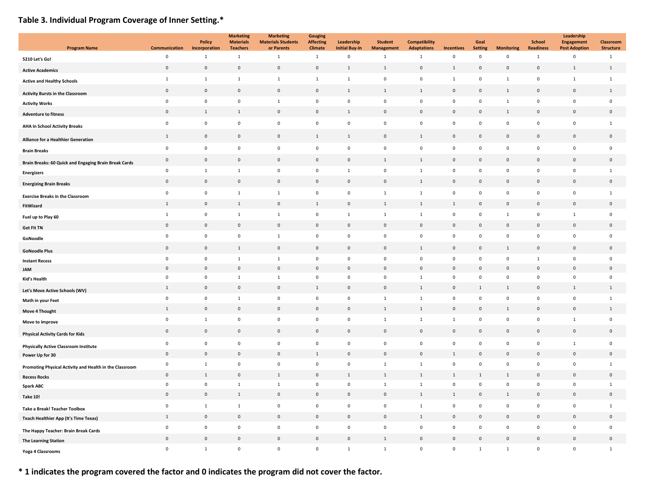# **Table 3. Individual Program Coverage of Inner Setting.\***

| <b>Program Name</b>                                     | <b>Communication</b>                       | <b>Policy</b><br>Incorporation | <b>Marketing</b><br><b>Materials</b><br><b>Teachers</b> | <b>Marketing</b><br><b>Materials Students</b><br>or Parents | <b>Gauging</b><br><b>Affecting</b><br><b>Climate</b> | Leadership<br><b>Initial Buy-In</b> | <b>Student</b><br><b>Management</b> | <b>Compatibility</b><br><b>Adaptations</b> | <b>Incentives</b>          | Goal<br><b>Setting</b> | <b>Monitoring</b>            | <b>School</b><br><b>Readiness</b>          | Leadership<br><b>Engagement</b><br><b>Post Adoption</b> | Classroom<br><b>Structure</b> |
|---------------------------------------------------------|--------------------------------------------|--------------------------------|---------------------------------------------------------|-------------------------------------------------------------|------------------------------------------------------|-------------------------------------|-------------------------------------|--------------------------------------------|----------------------------|------------------------|------------------------------|--------------------------------------------|---------------------------------------------------------|-------------------------------|
| 5210 Let's Go!                                          | $\mathbf 0$                                | $\mathbf{1}$                   | $\mathbf{1}$                                            | $\mathbf{1}$                                                | $\mathbf{1}$                                         | $\mathbf 0$                         | $\mathbf{1}$                        | $\mathbf{1}$                               | $\mathsf 0$                | $\mathsf 0$            | $\mathbf 0$                  | $\mathbf{1}$                               | $\pmb{0}$                                               | $\mathbf{1}$                  |
| <b>Active Academics</b>                                 | $\mathsf{O}\xspace$                        | $\mathbf{0}$                   | $\mathbf 0$                                             | $\mathsf{O}\xspace$                                         | $\mathbf{0}$                                         | 1                                   | $\mathbf{1}$                        | $\mathbf{0}$                               | $\mathbf{1}$               | $\mathbf 0$            | $\mathsf{O}\xspace$          | $\mathsf{O}\xspace$                        | $\mathbf{1}$                                            | $\mathbf{1}$                  |
| <b>Active and Healthy Schools</b>                       | $\mathbf{1}$                               | 1                              | $\mathbf{1}$                                            | $1\,$                                                       | $\mathbf 1$                                          | $\mathbf{1}$                        | $\mathbf 0$                         | $\mathsf 0$                                | 1                          | $\mathbf 0$            | $\mathbf 1$                  | $\mathbf 0$                                | $\mathbf{1}$                                            | $\mathbf{1}$                  |
| <b>Activity Bursts in the Classroom</b>                 | $\mathsf 0$                                | $\mathsf 0$                    | $\mathbf 0$                                             | $\mathsf 0$                                                 | $\mathbf{0}$                                         | $\mathbf{1}$                        | $\mathbf{1}$                        | $1\,$                                      | $\mathsf 0$                | $\mathsf 0$            | $\mathbf{1}$                 | $\mathbf 0$                                | $\mathbf 0$                                             | 1                             |
| <b>Activity Works</b>                                   | $\mathbf 0$                                | $\mathbf 0$                    | $\mathbf 0$                                             | $\mathbf{1}$                                                | $\mathsf 0$                                          | $\,$ 0                              | $\mathbf 0$                         | $\mathsf 0$                                | $\mathbf 0$                | $\mathbf 0$            | $\mathbf 1$                  | $\mathbf 0$                                | $\mathsf 0$                                             | $\mathbf 0$                   |
| <b>Adventure to fitness</b>                             | $\mathbf 0$                                | $\mathbf{1}$                   | $1\,$                                                   | $\mathsf{O}\xspace$                                         | $\Omega$                                             | $\mathbf{1}$                        | $\mathbf 0$                         | $\mathsf 0$                                | $\mathbf 0$                | $\mathsf 0$            | $\mathbf{1}$                 | $\mathsf{O}\xspace$                        | $\mathbf 0$                                             | $\mathsf{O}\xspace$           |
| <b>AHA In School Activity Breaks</b>                    | $\mathbf 0$                                | $\mathbf 0$                    | $\mathbf 0$                                             | $\mathbf 0$                                                 | $\mathbf 0$                                          | $\pmb{0}$                           | $\pmb{0}$                           | $\mathbf 0$                                | $\mathbf 0$                | $\mathbf 0$            | $\mathbf 0$                  | $\mathsf{O}\xspace$                        | $\mathbf 0$                                             | $\mathbf{1}$                  |
| <b>Alliance for a Healthier Generation</b>              | $\mathbf{1}$                               | $\mathbf 0$                    | $\,0\,$                                                 | $\pmb{0}$                                                   | $1\,$                                                | $\mathbf{1}$                        | $\mathbf 0$                         | 1                                          | $\boldsymbol{0}$           | $\boldsymbol{0}$       | $\mathbf 0$                  | $\mathbf 0$                                | $\mathbf 0$                                             | $\mathbf 0$                   |
| <b>Brain Breaks</b>                                     | $\mathbf 0$                                | $\mathbf 0$                    | $\mathbf 0$                                             | $\mathsf 0$                                                 | $\mathbf 0$                                          | $\mathbf 0$                         | $\pmb{0}$                           | $\mathbf 0$                                | $\mathbf 0$                | $\mathbf 0$            | $\mathbf 0$                  | $\mathsf{O}\xspace$                        | $\mathsf 0$                                             | 0                             |
| Brain Breaks: 60 Quick and Engaging Brain Break Cards   | $\pmb{0}$                                  | $\mathbf 0$                    | $\,0\,$                                                 | $\mathsf{O}\xspace$                                         | $\mathbf 0$                                          | $\mathbf 0$                         | $\mathbf{1}$                        | $\,$ 1                                     | $\mathbf 0$                | $\mathbf 0$            | $\mathbf 0$                  | $\mathsf{O}\xspace$                        | $\mathbb O$                                             | $\mathbf 0$                   |
| <b>Energizers</b>                                       | $\mathbf 0$                                | $\mathbf{1}$                   | $\mathbf{1}$                                            | $\mathbf 0$                                                 | 0                                                    | $\mathbf{1}$                        | $\pmb{0}$                           | $\mathbf{1}$                               | $\mathbf 0$                | $\mathbf 0$            | $\mathbf 0$                  | $\mathbf 0$                                | $\mathsf 0$                                             | $\mathbf{1}$                  |
| <b>Energizing Brain Breaks</b>                          | $\mathsf 0$                                | $\mathbf 0$                    | $\mathbf 0$                                             | $\mathsf{O}\xspace$                                         | $\mathsf 0$                                          | $\,$ 0                              | $\mathbf 0$                         | $\mathbf{1}$                               | $\mathbf 0$                | $\mathbf 0$            | $\mathsf{O}\xspace$          | $\mathsf{O}\xspace$                        | $\mathsf{O}\xspace$                                     | $\mathsf{O}\xspace$           |
| <b>Exercise Breaks in the Classroom</b>                 | $\mathbf 0$                                | $\pmb{0}$                      | $\mathbf{1}$                                            | $1\,$                                                       | $\mathbf 0$                                          | $\,$ 0                              | $\mathbf 1$                         | $\mathbf 1$                                | $\mathbf 0$                | $\mathbf 0$            | $\mathbf 0$                  | $\mathbf 0$                                | $\mathsf 0$                                             | $\mathbf 1$                   |
| FitWizard                                               | 1                                          | $\mathbf 0$                    | $\mathbf{1}$                                            | $\mathsf{O}\xspace$                                         | $1\,$                                                | $\,$ 0                              | $\mathbf{1}$                        | $\mathbf{1}$                               | $\mathbf{1}$               | $\mathbf 0$            | $\mathbf 0$                  | $\mathbf 0$                                | $\mathbf 0$                                             | $\mathsf{O}\xspace$           |
| Fuel up to Play 60                                      | $\mathbf{1}$                               | $\pmb{0}$                      | $\mathbf{1}$                                            | $\mathbf{1}$                                                | 0                                                    | $\mathbf{1}$                        | $\mathbf{1}$                        | $\mathbf{1}$                               | $\mathbf 0$                | $\mathbf 0$            | $\mathbf{1}$                 | $\mathbf 0$                                | <sup>1</sup>                                            | $\mathbf 0$                   |
| <b>Get Fit TN</b>                                       | $\mathbf 0$                                | $\mathbf 0$                    | $\mathbf 0$                                             | $\mathbf 0$                                                 | $\mathbf 0$                                          | $\mathbf 0$                         | $\mathsf 0$                         | $\mathsf 0$                                | $\boldsymbol{0}$           | $\mathbf{0}$           | $\mathbf 0$                  | $\mathbf 0$                                | $\mathsf 0$                                             | $\mathbf 0$                   |
| GoNoodle                                                | $\mathsf 0$                                | $\mathsf 0$                    | $\mathbf 0$                                             | $1\,$                                                       | $\mathsf 0$                                          | $\,$ 0                              | $\mathbf 0$                         | $\mathsf 0$                                | $\mathbf 0$                | $\mathbf 0$            | $\mathbf 0$                  | $\mathsf{O}\xspace$                        | $\mathsf{O}\xspace$                                     | $\mathsf{O}\xspace$           |
| <b>GoNoodle Plus</b>                                    | $\mathsf{O}\xspace$                        | $\mathbf 0$                    | $1\,$                                                   | $\mathbf 0$                                                 | $\mathbf 0$                                          | $\mathbf 0$                         | $\mathbf 0$                         | 1                                          | $\mathbf 0$                | $\mathbf{0}$           | $\mathbf{1}$                 | $\mathbf 0$                                | $\mathbf 0$                                             | $\mathsf{O}\xspace$           |
| <b>Instant Recess</b>                                   | $\mathbf 0$                                | $\mathsf 0$                    | $\mathbf{1}$                                            | $1\,$                                                       | $\pmb{0}$                                            | $\,$ 0                              | $\mathbf 0$                         | $\mathbf 0$                                | $\mathbf 0$                | $\mathbf 0$            | $\mathbf 0$                  | $\mathbf 1$                                | $\mathbf 0$                                             | $\mathsf{O}\xspace$           |
| <b>JAM</b>                                              | $\mathsf 0$                                | $\mathsf 0$                    | $\mathbf 0$                                             | $\mathsf 0$                                                 | $\mathsf 0$                                          | $\mathbf 0$                         | $\mathbf{0}$                        | $\mathbf{0}$                               | $\mathsf 0$                | $\mathsf 0$            | $\mathsf 0$                  | $\mathsf 0$                                | $\mathbf 0$                                             | $\mathbf{0}$                  |
| Kid's Health                                            | $\mathsf{O}\xspace$                        | $\mathsf 0$                    | $\mathbf{1}$                                            | $1\,$                                                       | $\mathbf 0$                                          | $\,$ 0                              | $\mathbf 0$                         | $\mathbf 1$                                | $\mathbf 0$                | $\mathbf 0$            | $\mathsf{O}\xspace$          | $\mathsf{O}\xspace$                        | $\mathsf{O}\xspace$                                     | $\mathsf{O}\xspace$           |
| Let's Move Active Schools (WV)                          | $1\,$                                      | $\mathsf 0$                    | $\mathbf 0$                                             | $\mathsf 0$                                                 | $1\,$                                                | $\mathbf 0$                         | $\mathbf 0$                         | $\mathbf{1}$                               | $\mathbf 0$                | 1                      | $\mathbf{1}$                 | $\mathbf 0$                                | $1\,$                                                   | 1                             |
| Math in your Feet                                       | $\mathsf 0$                                | $\mathsf 0$                    | $\mathbf{1}$                                            | $\mathsf 0$                                                 | $\mathsf 0$                                          | $\overline{\mathbf{0}}$             | $\mathbf{1}$                        | $\mathbf 1$                                | $\mathbf 0$                | $\mathbf 0$            | $\mathsf 0$                  | $\mathsf{O}\xspace$                        | $\mathsf{O}\xspace$                                     | $\mathbf{1}$                  |
| Move 4 Thought                                          | 1                                          | $\mathsf 0$                    | $\mathbf 0$                                             | $\mathsf{O}\xspace$                                         | $\mathsf 0$                                          | $\mathbf 0$                         | $\mathbf{1}$                        | $\mathbf{1}$                               | $\mathbf 0$                | $\mathbf 0$            | $\mathbf{1}$                 | $\mathbf 0$                                | $\mathsf{O}\xspace$                                     | $\mathbf{1}$                  |
| Move to Improve                                         | $\mathbf 0$                                | $\mathbf{1}$                   | $\mathsf 0$                                             | $\mathsf 0$                                                 | $\pmb{0}$                                            | $\mathbf 0$                         | $\mathbf{1}$                        | $\mathbf 1$                                | $\mathbf{1}$               | $\mathbf 0$            | $\mathbf 0$                  | $\mathbf 0$                                | $\mathbf{1}$                                            | 0                             |
| <b>Physical Activity Cards for Kids</b>                 | $\mathbf 0$                                | $\mathbf 0$                    | $\mathbf 0$                                             | $\mathbf 0$                                                 | $\mathsf 0$                                          | $\mathbf 0$                         | $\mathbf 0$                         | $\mathsf 0$                                | $\mathsf 0$                | $\mathbf 0$            | $\mathbf 0$                  | $\mathbf 0$                                | $\mathsf{O}\xspace$                                     | $\mathbf 0$                   |
| <b>Physically Active Classroom Institute</b>            | $\mathbf 0$                                | $\mathbf 0$                    | $\mathbf 0$                                             | $\mathbf 0$                                                 | $\mathbf 0$                                          | $\pmb{0}$                           | $\pmb{0}$                           | $\mathsf 0$                                | $\mathbf 0$                | $\mathbf 0$            | $\mathbf 0$                  | $\mathbf 0$                                | $\mathbf{1}$                                            | $\mathbf 0$                   |
| Power Up for 30                                         | $\mathsf{O}\xspace$                        | $\mathbf 0$                    | $\mathbf 0$                                             | $\mathsf{O}\xspace$                                         | $\mathbf{1}$                                         | $\mathbf 0$                         | $\mathbf 0$                         | $\mathsf 0$                                | $\mathbf{1}$               | $\mathbf 0$            | $\mathbf 0$                  | $\mathbf 0$                                | $\mathsf{O}\xspace$                                     | $\mathsf{O}\xspace$           |
| Promoting Physical Activity and Health in the Classroom | $\mathbf 0$                                | $\mathbf{1}$                   | $\mathbf 0$                                             | $\mathsf 0$                                                 | $\mathbf 0$                                          | $\mathbf 0$                         | $\mathbf 1$                         | $\mathbf{1}$                               | $\mathbf 0$                | $\mathbf 0$            | $\mathbf 0$                  | $\mathbf 0$                                | $\mathsf 0$                                             | $\mathbf{1}$                  |
| <b>Recess Rocks</b>                                     | $\mathbf 0$                                | $\mathbf{1}$                   | $\mathbf 0$                                             | $\mathbf{1}$                                                | $\mathsf 0$                                          | $\mathbf{1}$                        | $\,$ 1                              | $\mathbf{1}$                               | $\mathbf{1}$               | $\mathbf{1}$           | $\mathbf{1}$                 | $\mathbf 0$                                | $\mathbf 0$                                             | $\mathsf{O}\xspace$           |
| <b>Spark ABC</b>                                        | $\mathsf{O}\xspace$<br>$\mathsf{O}\xspace$ | $\mathsf 0$<br>$\mathbf 0$     | $\mathbf 1$<br>$1\,$                                    | $\mathbf 1$<br>$\mathsf{O}\xspace$                          | $\mathbf 0$<br>$\mathsf{O}\xspace$                   | $\,$ 0<br>$\,$ 0                    | $\mathbf 1$<br>$\mathbf 0$          | $\,$ 1 $\,$<br>$1\,$                       | $\mathbf 0$<br>$\,$ 1 $\,$ | $\mathbf 0$            | $\mathsf{O}\xspace$<br>$1\,$ | $\mathsf{O}\xspace$<br>$\mathsf{O}\xspace$ | $\mathsf 0$<br>$\mathsf{O}\xspace$                      | $1\,$<br>$\mathsf{O}\xspace$  |
| <b>Take 10!</b>                                         |                                            |                                |                                                         |                                                             |                                                      |                                     |                                     |                                            |                            | $\mathbf 0$            |                              |                                            |                                                         |                               |
| <b>Take a Break! Teacher Toolbox</b>                    | $\mathsf 0$                                | $\mathbf{1}$                   | $\,$ 1                                                  | $\mathsf 0$                                                 | $\pmb{0}$                                            | $\,$ 0                              | $\mathbf 0$                         | $\mathbf{1}$                               | $\mathbf 0$                | $\mathbf 0$            | $\mathbf 0$                  | $\mathbf 0$                                | $\mathsf 0$                                             | $\mathbf{1}$                  |
| Teach Healthier App (It's Time Texas)                   | $\mathbf{1}$                               | $\mathbf 0$                    | $\mathbf 0$                                             | $\mathsf{O}\xspace$                                         | $\mathsf 0$                                          | $\mathbf 0$                         | $\mathbf 0$                         | $\mathbf{1}$                               | $\mathsf 0$                | $\mathsf 0$            | $\mathbf 0$                  | $\mathsf{O}\xspace$                        | $\mathsf{O}\xspace$                                     | $\mathsf{O}\xspace$           |
| The Happy Teacher: Brain Break Cards                    | $\mathbf 0$                                | $\pmb{0}$                      | $\mathbf 0$                                             | $\mathsf 0$                                                 | $\mathbf 0$                                          | $\pmb{0}$                           | $\mathbf 0$                         | $\mathbf 0$                                | $\mathbf 0$                | $\mathbf 0$            | $\mathbf 0$                  | $\mathsf{O}\xspace$                        | $\mathsf 0$                                             | $\mathbf 0$                   |
| <b>The Learning Station</b>                             | $\mathsf{O}\xspace$                        | $\mathsf 0$                    | $\mathbb O$                                             | $\mathsf{O}\xspace$                                         | $\mathsf 0$                                          | $\mathbf 0$                         | $\mathbf{1}$                        | $\mathsf 0$                                | $\mathbf 0$                | $\mathbf 0$            | $\mathbf 0$                  | $\mathbf 0$                                | $\mathbf 0$                                             | $\mathbf 0$                   |
| Yoga 4 Classrooms                                       | $\mathsf{O}\xspace$                        | $1\,$                          | $\mathbf 0$                                             | $\mathsf 0$                                                 | $\mathsf 0$                                          | $\mathbf 1$                         | $\mathbf 1$                         | $\mathbf 0$                                | $\mathbf 0$                | 1                      | $\mathbf 1$                  | $\mathsf 0$                                | $\mathbf 0$                                             | $\mathbf{1}$                  |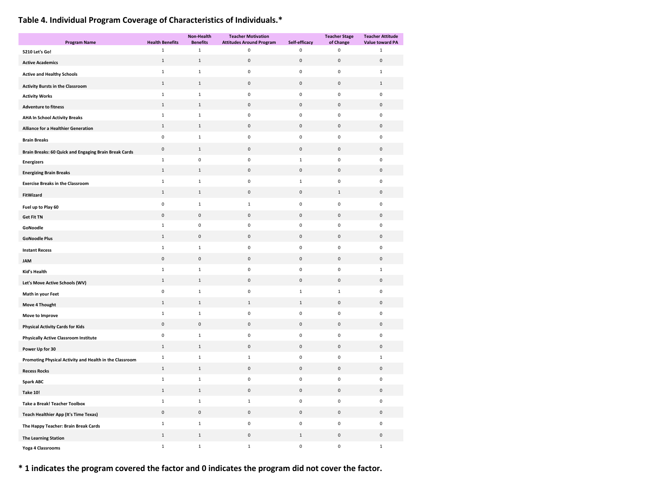# **Table 4. Individual Program Coverage of Characteristics of Individuals.\***

| <b>Program Name</b>                                     | <b>Health Benefits</b> | Non-Health<br><b>Benefits</b> | <b>Teacher Motivation</b><br><b>Attitudes Around Program</b> | Self-efficacy | <b>Teacher Stage</b><br>of Change | <b>Teacher Attitude</b><br><b>Value toward PA</b> |
|---------------------------------------------------------|------------------------|-------------------------------|--------------------------------------------------------------|---------------|-----------------------------------|---------------------------------------------------|
| 5210 Let's Go!                                          | $\mathbf 1$            | $\mathbf 1$                   | $\pmb{0}$                                                    | 0             | 0                                 | $\mathbf{1}$                                      |
| <b>Active Academics</b>                                 | $1\,$                  | $\mathbf 1$                   | $\pmb{0}$                                                    | $\pmb{0}$     | $\pmb{0}$                         | $\mathbf 0$                                       |
| <b>Active and Healthy Schools</b>                       | $\mathbf{1}$           | $\mathbf{1}$                  | $\mathbf 0$                                                  | 0             | 0                                 | $\mathbf{1}$                                      |
| <b>Activity Bursts in the Classroom</b>                 | $\mathbf{1}$           | $\,1\,$                       | $\pmb{0}$                                                    | $\pmb{0}$     | $\mathbf 0$                       | $\,1\,$                                           |
| <b>Activity Works</b>                                   | $\mathbf{1}$           | $\mathbf 1$                   | $\pmb{0}$                                                    | 0             | 0                                 | $\pmb{0}$                                         |
| <b>Adventure to fitness</b>                             | $1\,$                  | $\,1\,$                       | $\pmb{0}$                                                    | $\pmb{0}$     | $\pmb{0}$                         | $\pmb{0}$                                         |
| <b>AHA In School Activity Breaks</b>                    | $\mathbf 1$            | $\mathbf 1$                   | $\pmb{0}$                                                    | $\mathbf 0$   | $\mathbf 0$                       | $\pmb{0}$                                         |
| <b>Alliance for a Healthier Generation</b>              | $\mathbf{1}$           | $\mathbf{1}$                  | $\pmb{0}$                                                    | 0             | $\pmb{0}$                         | $\mathbf 0$                                       |
| <b>Brain Breaks</b>                                     | $\mathsf 0$            | $\,1\,$                       | $\pmb{0}$                                                    | $\pmb{0}$     | $\mathbf 0$                       | $\pmb{0}$                                         |
| Brain Breaks: 60 Quick and Engaging Brain Break Cards   | $\mathbf 0$            | $\,1\,$                       | $\pmb{0}$                                                    | $\pmb{0}$     | $\pmb{0}$                         | $\mathbf 0$                                       |
| <b>Energizers</b>                                       | $\mathbf{1}$           | $\pmb{0}$                     | $\pmb{0}$                                                    | $\mathbf 1$   | $\mathbf 0$                       | $\pmb{0}$                                         |
| <b>Energizing Brain Breaks</b>                          | $\mathbf{1}$           | $1\,$                         | $\pmb{0}$                                                    | $\pmb{0}$     | $\mathbf 0$                       | $\mathsf{O}\xspace$                               |
| <b>Exercise Breaks in the Classroom</b>                 | $\mathbf 1$            | $\mathbf 1$                   | $\pmb{0}$                                                    | $\mathbf 1$   | $\pmb{0}$                         | $\pmb{0}$                                         |
| FitWizard                                               | $\mathbf{1}$           | $\,1\,$                       | 0                                                            | 0             | $\mathbf 1$                       | $\mathbf 0$                                       |
| Fuel up to Play 60                                      | $\mathsf 0$            | $\,1\,$                       | $\mathbf 1$                                                  | $\mathbf 0$   | $\mathbf 0$                       | $\pmb{0}$                                         |
| <b>Get Fit TN</b>                                       | $\mathsf 0$            | $\mathbf 0$                   | $\pmb{0}$                                                    | $\pmb{0}$     | $\pmb{0}$                         | $\mathbf 0$                                       |
| GoNoodle                                                | $\mathbf{1}$           | $\pmb{0}$                     | $\pmb{0}$                                                    | 0             | 0                                 | $\mathbf 0$                                       |
| <b>GoNoodle Plus</b>                                    | 1                      | $\mathsf 0$                   | $\pmb{0}$                                                    | $\pmb{0}$     | $\mathbf 0$                       | $\mathsf 0$                                       |
| <b>Instant Recess</b>                                   | $\mathbf{1}$           | $\mathbf 1$                   | $\pmb{0}$                                                    | 0             | 0                                 | $\mathbf 0$                                       |
| <b>JAM</b>                                              | $\pmb{0}$              | $\mathsf 0$                   | $\pmb{0}$                                                    | $\pmb{0}$     | $\mathbf 0$                       | $\mathsf 0$                                       |
| Kid's Health                                            | $\mathbf{1}$           | $\mathbf 1$                   | $\pmb{0}$                                                    | 0             | $\pmb{0}$                         | $\mathbf{1}$                                      |
| Let's Move Active Schools (WV)                          | $\mathbf{1}$           | $\mathbf{1}$                  | 0                                                            | $\pmb{0}$     | $\pmb{0}$                         | 0                                                 |
| Math in your Feet                                       | $\mathbf 0$            | $\mathbf 1$                   | $\pmb{0}$                                                    | $\mathbf 1$   | $\mathbf 1$                       | $\pmb{0}$                                         |
| Move 4 Thought                                          | $\mathbf{1}$           | $\,1\,$                       | $\mathbf{1}$                                                 | $\mathbf{1}$  | $\pmb{0}$                         | $\pmb{0}$                                         |
| Move to Improve                                         | $\mathbf{1}$           | $\mathbf 1$                   | $\pmb{0}$                                                    | 0             | $\pmb{0}$                         | $\pmb{0}$                                         |
| <b>Physical Activity Cards for Kids</b>                 | $\pmb{0}$              | $\mathbf 0$                   | $\pmb{0}$                                                    | $\pmb{0}$     | $\pmb{0}$                         | $\mathbf 0$                                       |
| <b>Physically Active Classroom Institute</b>            | $\mathbf 0$            | $\mathbf{1}$                  | $\pmb{0}$                                                    | 0             | 0                                 | $\mathbf 0$                                       |
| Power Up for 30                                         | $1\,$                  | $\,1\,$                       | $\pmb{0}$                                                    | $\pmb{0}$     | $\mathbf 0$                       | $\mathbf 0$                                       |
| Promoting Physical Activity and Health in the Classroom | $\mathbf{1}$           | $\mathbf{1}$                  | $\mathbf{1}$                                                 | 0             | 0                                 | $\mathbf{1}$                                      |
| <b>Recess Rocks</b>                                     | $1\,$                  | $\mathbf 1$                   | $\pmb{0}$                                                    | $\pmb{0}$     | $\pmb{0}$                         | $\mathbf 0$                                       |
| <b>Spark ABC</b>                                        | $\mathbf{1}$           | $\mathbf{1}$                  | $\pmb{0}$                                                    | 0             | 0                                 | $\mathbf 0$                                       |
| <b>Take 10!</b>                                         | $\mathbf{1}$           | $\mathbf 1$                   | $\pmb{0}$                                                    | $\pmb{0}$     | $\pmb{0}$                         | $\pmb{0}$                                         |
| <b>Take a Break! Teacher Toolbox</b>                    | 1                      | $\mathbf{1}$                  | $\mathbf{1}$                                                 | 0             | 0                                 | $\pmb{0}$                                         |
| Teach Healthier App (It's Time Texas)                   | $\mathsf 0$            | $\mathbf 0$                   | $\pmb{0}$                                                    | $\pmb{0}$     | $\pmb{0}$                         | $\pmb{0}$                                         |
| The Happy Teacher: Brain Break Cards                    | $\mathbf{1}$           | $\mathbf 1$                   | $\pmb{0}$                                                    | 0             | 0                                 | $\mathbf 0$                                       |
| <b>The Learning Station</b>                             | $1\,$                  | $\mathbf 1$                   | $\pmb{0}$                                                    | $\,1\,$       | $\pmb{0}$                         | $\pmb{0}$                                         |
| Yoga 4 Classrooms                                       | $\mathbf 1$            | $\mathbf 1$                   | $\mathbf 1$                                                  | 0             | $\pmb{0}$                         | $\mathbf 1$                                       |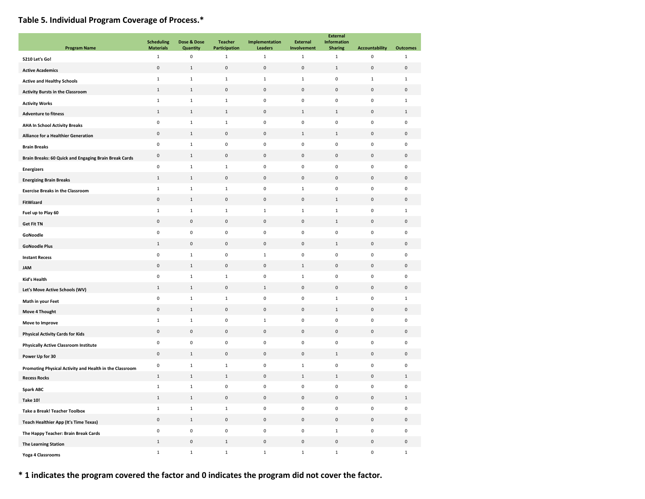# **Table 5. Individual Program Coverage of Process.\***

|                                                         | <b>Scheduling</b> | Dose & Dose                 | <b>Teacher</b> | Implementation | <b>External</b> | <b>External</b><br><b>Information</b> |                       |                     |
|---------------------------------------------------------|-------------------|-----------------------------|----------------|----------------|-----------------|---------------------------------------|-----------------------|---------------------|
| <b>Program Name</b>                                     | <b>Materials</b>  | Quantity                    | Participation  | Leaders        | Involvement     | <b>Sharing</b>                        | <b>Accountability</b> | <b>Outcomes</b>     |
| 5210 Let's Go!                                          | $\,1\,$           | 0                           | $\mathbf 1$    | $\mathbf 1$    | $\mathbf 1$     | $\mathbf 1$                           | $\pmb{0}$             | $\mathbf{1}$        |
| <b>Active Academics</b>                                 | 0                 | $\mathbf{1}$                | $\pmb{0}$      | $\mathbf 0$    | $\pmb{0}$       | $1\,$                                 | $\mathsf 0$           | 0                   |
| <b>Active and Healthy Schools</b>                       | $\,$ 1 $\,$       | $\mathbf 1$                 | $\,$ 1         | $\mathbf{1}$   | $\mathbf 1$     | 0                                     | $\mathbf{1}$          | $\mathbf{1}$        |
| <b>Activity Bursts in the Classroom</b>                 | $\,1\,$           | $\mathbf 1$                 | $\pmb{0}$      | $\mathsf 0$    | $\mathbf 0$     | $\pmb{0}$                             | $\bf 0$               | $\mathsf{O}\xspace$ |
| <b>Activity Works</b>                                   | $\mathbf{1}$      | 1                           | $\mathbf{1}$   | $\mathbf 0$    | $\mathbf 0$     | 0                                     | $\mathsf 0$           | $\mathbf{1}$        |
| <b>Adventure to fitness</b>                             | $\mathbf{1}$      | $\mathbf{1}$                | $\mathbf{1}$   | $\mathsf 0$    | $\mathbf{1}$    | $\mathbf{1}$                          | $\mathsf 0$           | 1                   |
| <b>AHA In School Activity Breaks</b>                    | $\pmb{0}$         | $\mathbf 1$                 | $\mathbf 1$    | $\mathbf 0$    | $\mathbf 0$     | 0                                     | $\mathbf 0$           | $\mathbf 0$         |
| Alliance for a Healthier Generation                     | $\pmb{0}$         | $\mathbf 1$                 | $\pmb{0}$      | $\mathbf 0$    | $\,$ 1          | $\mathbf 1$                           | $\mathbf 0$           | $\mathbf 0$         |
| <b>Brain Breaks</b>                                     | $\pmb{0}$         | $\mathbf 1$                 | $\pmb{0}$      | $\mathsf 0$    | $\pmb{0}$       | 0                                     | $\pmb{0}$             | $\pmb{0}$           |
| Brain Breaks: 60 Quick and Engaging Brain Break Cards   | $\pmb{0}$         | $1\,$                       | $\pmb{0}$      | $\mathbf 0$    | $\mathbf 0$     | 0                                     | $\mathbf 0$           | $\mathbf 0$         |
| <b>Energizers</b>                                       | $\pmb{0}$         | $\mathbf 1$                 | $\,$ 1         | $\mathbf 0$    | $\mathbf 0$     | 0                                     | $\mathbf 0$           | $\mathbf 0$         |
| <b>Energizing Brain Breaks</b>                          | $\mathbf{1}$      | $\mathbf{1}$                | $\mathbf 0$    | $\mathsf 0$    | $\mathsf 0$     | $\pmb{0}$                             | $\mathsf 0$           | $\mathsf{O}\xspace$ |
| <b>Exercise Breaks in the Classroom</b>                 | $\mathbf{1}$      | $\mathbf 1$                 | $\mathbf{1}$   | $\mathbf 0$    | $\mathbf{1}$    | 0                                     | $\mathbf 0$           | $\mathsf 0$         |
| FitWizard                                               | $\mathsf 0$       | $\mathbf 1$                 | $\pmb{0}$      | $\mathsf 0$    | $\mathbf 0$     | $\mathbf 1$                           | $\mathsf 0$           | $\mathbf 0$         |
| Fuel up to Play 60                                      | $\mathbf{1}$      | $\mathbf{1}$                | $\mathbf{1}$   | $\mathbf{1}$   | $\mathbf{1}$    | $\mathbf{1}$                          | $\mathbf 0$           | $\mathbf{1}$        |
| <b>Get Fit TN</b>                                       | $\pmb{0}$         | $\pmb{0}$                   | $\pmb{0}$      | $\mathbf 0$    | $\mathsf 0$     | $\mathbf 1$                           | $\mathbf 0$           | $\mathbf 0$         |
| GoNoodle                                                | $\pmb{0}$         | $\mathbf 0$                 | $\pmb{0}$      | $\mathbf 0$    | $\mathbf 0$     | $\pmb{0}$                             | $\mathbf 0$           | $\mathbf 0$         |
|                                                         | 1                 | $\pmb{0}$                   | $\pmb{0}$      | $\mathbf 0$    | $\mathbf 0$     | $\,1$                                 | $\mathsf 0$           | $\mathsf{O}\xspace$ |
| <b>GoNoodle Plus</b>                                    | $\mathsf 0$       | $\mathbf{1}$                | $\pmb{0}$      | $\mathbf{1}$   | $\mathbf 0$     | 0                                     | $\mathbf 0$           | $\mathbf 0$         |
| <b>Instant Recess</b>                                   | $\pmb{0}$         | $\mathbf 1$                 | $\pmb{0}$      | $\mathsf 0$    | $\mathbf 1$     | 0                                     | $\mathsf 0$           | $\mathbf 0$         |
| <b>JAM</b>                                              | $\pmb{0}$         | $\mathbf 1$                 | $\mathbf{1}$   | $\mathbf 0$    | $\mathbf{1}$    | 0                                     | $\mathbf 0$           | $\mathbf 0$         |
| <b>Kid's Health</b>                                     | $\mathbf{1}$      | $\mathbf 1$                 | $\bf 0$        | $\mathbf{1}$   | $\mathbf 0$     | $\pmb{0}$                             | $\mathsf 0$           | $\mathbf 0$         |
| Let's Move Active Schools (WV)                          | $\pmb{0}$         | $\mathbf 1$                 | $\mathbf 1$    | $\mathbf 0$    | $\mathbf 0$     | $\mathbf 1$                           | $\mathbf 0$           | $\mathbf{1}$        |
| Math in your Feet                                       | $\pmb{0}$         |                             | $\pmb{0}$      | $\mathsf 0$    | $\pmb{0}$       |                                       | $\mathsf 0$           |                     |
| Move 4 Thought                                          | $\mathbf 1$       | $\mathbf{1}$<br>$\mathbf 1$ | $\pmb{0}$      | $\mathbf{1}$   | $\mathbf 0$     | $\mathbf 1$<br>0                      | $\pmb{0}$             | 0<br>$\mathbf 0$    |
| Move to Improve                                         |                   |                             |                |                |                 |                                       |                       |                     |
| <b>Physical Activity Cards for Kids</b>                 | $\mathsf 0$       | $\pmb{0}$                   | $\mathbf 0$    | $\mathsf 0$    | $\mathsf 0$     | 0                                     | $\mathbf{0}$          | $\mathsf 0$         |
| <b>Physically Active Classroom Institute</b>            | 0                 | $\pmb{0}$                   | 0              | $\mathbf 0$    | $\pmb{0}$       | 0                                     | $\mathbf 0$           | $\mathsf{O}\xspace$ |
| Power Up for 30                                         | $\mathbf 0$       | $1\,$                       | $\pmb{0}$      | $\mathbf 0$    | $\pmb{0}$       | $\mathbf 1$                           | $\mathbf 0$           | $\mathbf 0$         |
| Promoting Physical Activity and Health in the Classroom | 0                 | $\mathbf 1$                 | $\mathbf 1$    | $\mathbf 0$    | $\mathbf{1}$    | 0                                     | $\mathbf 0$           | 0                   |
| <b>Recess Rocks</b>                                     | $\mathbf{1}$      | $\mathbf 1$                 | $\,1\,$        | $\mathsf 0$    | $\mathbf 1$     | $\mathbf 1$                           | $\mathsf 0$           | $\mathbf{1}$        |
| <b>Spark ABC</b>                                        | $\mathbf{1}$      | $\mathbf 1$                 | 0              | $\mathbf 0$    | $\pmb{0}$       | 0                                     | $\mathbf 0$           | 0                   |
| <b>Take 10!</b>                                         | $\,1$             | $\mathbf 1$                 | $\pmb{0}$      | $\mathbf 0$    | 0               | 0                                     | $\mathbf 0$           | $1\,$               |
| <b>Take a Break! Teacher Toolbox</b>                    | $\mathbf 1$       | $\mathbf 1$                 | $\,$ 1         | $\mathbf 0$    | $\mathbf 0$     | 0                                     | $\mathbf 0$           | $\mathbf 0$         |
| Teach Healthier App (It's Time Texas)                   | $\pmb{0}$         | $\mathbf 1$                 | $\pmb{0}$      | $\bf 0$        | $\mathsf 0$     | $\pmb{0}$                             | $\bf 0$               | $\mathsf{O}\xspace$ |
| The Happy Teacher: Brain Break Cards                    | $\pmb{0}$         | $\pmb{0}$                   | 0              | $\mathbf 0$    | $\mathbf 0$     | $\,1$                                 | $\mathbf 0$           | 0                   |
| <b>The Learning Station</b>                             | $\mathbf{1}$      | $\pmb{0}$                   | $\,1\,$        | $\mathsf 0$    | $\mathsf 0$     | 0                                     | $\mathsf 0$           | $\mathbf 0$         |
| Yoga 4 Classrooms                                       | $\,1\,$           | $\mathbf{1}$                | $\mathbf 1$    | $\mathbf{1}$   | $\mathbf 1$     | $\mathbf 1$                           | $\mathbf 0$           | $\mathbf{1}$        |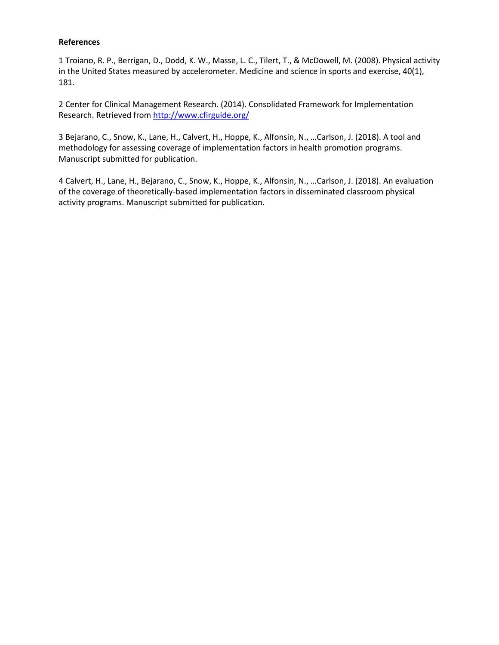#### **References**

1 Troiano, R. P., Berrigan, D., Dodd, K. W., Masse, L. C., Tilert, T., & McDowell, M. (2008). Physical activity in the United States measured by accelerometer. Medicine and science in sports and exercise, 40(1), 181.

2 Center for Clinical Management Research. (2014). Consolidated Framework for Implementation Research. Retrieved from<http://www.cfirguide.org/>

3 Bejarano, C., Snow, K., Lane, H., Calvert, H., Hoppe, K., Alfonsin, N., …Carlson, J. (2018). A tool and methodology for assessing coverage of implementation factors in health promotion programs. Manuscript submitted for publication.

4 Calvert, H., Lane, H., Bejarano, C., Snow, K., Hoppe, K., Alfonsin, N., …Carlson, J. (2018). An evaluation of the coverage of theoretically-based implementation factors in disseminated classroom physical activity programs. Manuscript submitted for publication.